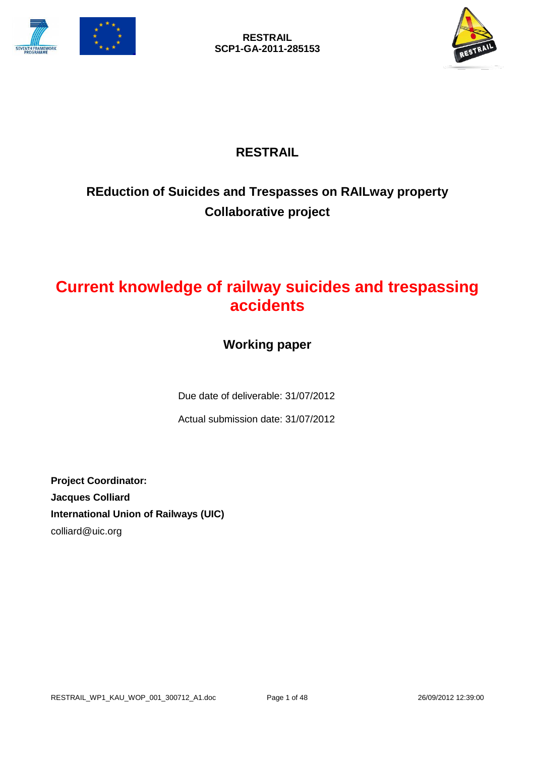



# **RESTRAIL**

# **REduction of Suicides and Trespasses on RAILway property Collaborative project**

# **Current knowledge of railway suicides and trespassing accidents**

# **Working paper**

Due date of deliverable: 31/07/2012

Actual submission date: 31/07/2012

**Project Coordinator: Jacques Colliard International Union of Railways (UIC)** colliard@uic.org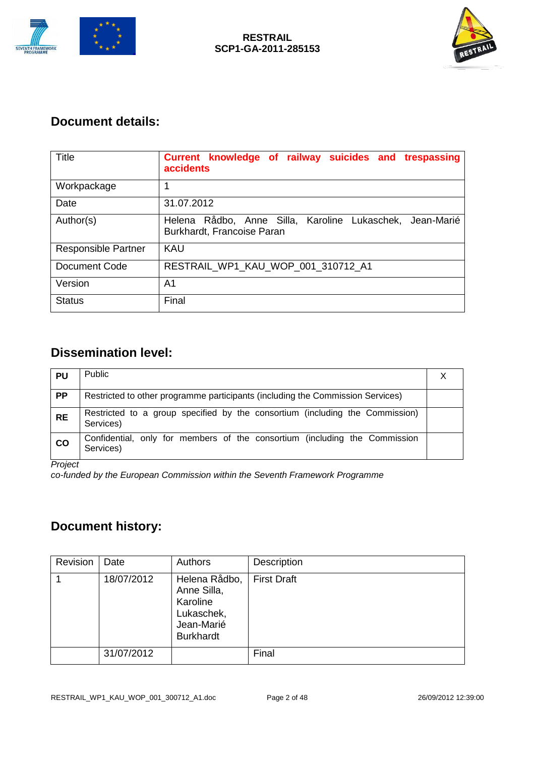



### **Document details:**

| Title                      | Current knowledge of railway suicides and trespassing<br>accidents                        |
|----------------------------|-------------------------------------------------------------------------------------------|
| Workpackage                | 1                                                                                         |
| Date                       | 31.07.2012                                                                                |
| Author(s)                  | Helena Rådbo, Anne Silla, Karoline Lukaschek,<br>Jean-Marié<br>Burkhardt, Francoise Paran |
| <b>Responsible Partner</b> | <b>KAU</b>                                                                                |
| Document Code              | RESTRAIL_WP1_KAU_WOP_001_310712_A1                                                        |
| Version                    | A1                                                                                        |
| <b>Status</b>              | Final                                                                                     |

# **Dissemination level:**

| <b>PU</b>     | <b>Public</b>                                                                             |  |
|---------------|-------------------------------------------------------------------------------------------|--|
| PP            | Restricted to other programme participants (including the Commission Services)            |  |
| <b>RE</b>     | Restricted to a group specified by the consortium (including the Commission)<br>Services) |  |
| $\mathsf{co}$ | Confidential, only for members of the consortium (including the Commission<br>Services)   |  |

*Project* 

*co-funded by the European Commission within the Seventh Framework Programme*

### **Document history:**

| Revision | Date       | Authors                                                                                  | Description        |
|----------|------------|------------------------------------------------------------------------------------------|--------------------|
|          | 18/07/2012 | Helena Rådbo,<br>Anne Silla,<br>Karoline<br>Lukaschek,<br>Jean-Marié<br><b>Burkhardt</b> | <b>First Draft</b> |
|          | 31/07/2012 |                                                                                          | Final              |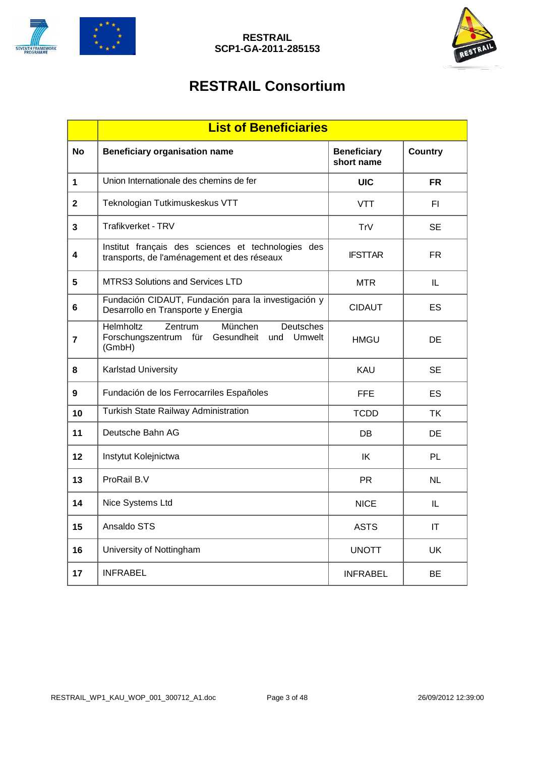



# **RESTRAIL Consortium**

|              | <b>List of Beneficiaries</b>                                                                             |                                  |                |
|--------------|----------------------------------------------------------------------------------------------------------|----------------------------------|----------------|
| <b>No</b>    | <b>Beneficiary organisation name</b>                                                                     | <b>Beneficiary</b><br>short name | <b>Country</b> |
| $\mathbf 1$  | Union Internationale des chemins de fer                                                                  | <b>UIC</b>                       | <b>FR</b>      |
| $\mathbf{2}$ | Teknologian Tutkimuskeskus VTT                                                                           | <b>VTT</b>                       | FI.            |
| 3            | Trafikverket - TRV                                                                                       | TrV                              | SE             |
| 4            | Institut français des sciences et technologies des<br>transports, de l'aménagement et des réseaux        | <b>IFSTTAR</b>                   | FR             |
| 5            | <b>MTRS3 Solutions and Services LTD</b>                                                                  | <b>MTR</b>                       | IL             |
| 6            | Fundación CIDAUT, Fundación para la investigación y<br>Desarrollo en Transporte y Energia                | <b>CIDAUT</b>                    | ES             |
| 7            | Zentrum<br>Helmholtz<br>München<br>Deutsches<br>Forschungszentrum für Gesundheit<br>und Umwelt<br>(GmbH) | <b>HMGU</b>                      | DE             |
| 8            | <b>Karlstad University</b>                                                                               | KAU                              | <b>SE</b>      |
| 9            | Fundación de los Ferrocarriles Españoles                                                                 | <b>FFE</b>                       | ES.            |
| 10           | <b>Turkish State Railway Administration</b>                                                              | <b>TCDD</b>                      | TK             |
| 11           | Deutsche Bahn AG                                                                                         | DB                               | DE             |
| 12           | Instytut Kolejnictwa                                                                                     | IK                               | PL             |
| 13           | ProRail B.V                                                                                              | <b>PR</b>                        | <b>NL</b>      |
| 14           | Nice Systems Ltd                                                                                         | <b>NICE</b>                      | IL             |
| 15           | Ansaldo STS                                                                                              | <b>ASTS</b>                      | IT             |
| 16           | University of Nottingham                                                                                 | <b>UNOTT</b>                     | UK             |
| 17           | <b>INFRABEL</b>                                                                                          | <b>INFRABEL</b>                  | ВE             |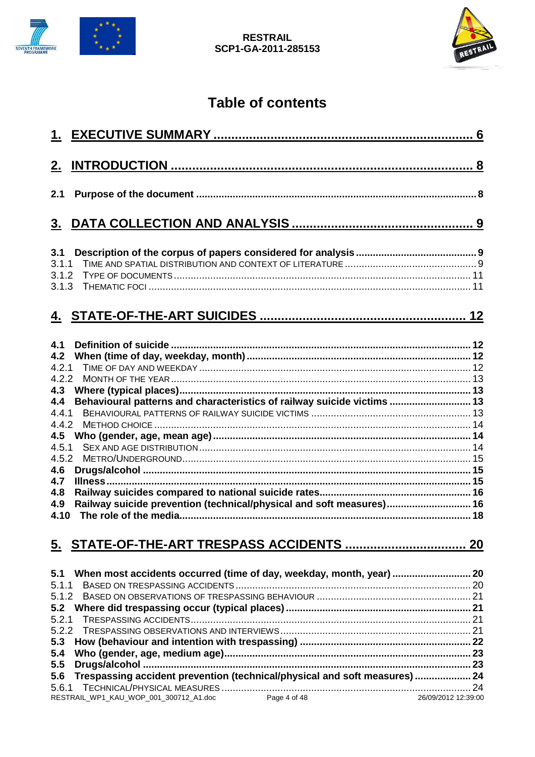



# **Table of contents**

| <u>2.</u>      |                                                                               |  |
|----------------|-------------------------------------------------------------------------------|--|
| 2.1            |                                                                               |  |
| 3 <sub>1</sub> |                                                                               |  |
| 3.1            |                                                                               |  |
| 3.1.1          |                                                                               |  |
| 3.1.2          |                                                                               |  |
| 3.1.3          |                                                                               |  |
|                |                                                                               |  |
| 4.1            |                                                                               |  |
| 4.2            |                                                                               |  |
| 4.2.1          |                                                                               |  |
| 4.2.2          |                                                                               |  |
| 4.3            |                                                                               |  |
| 4.4            | Behavioural patterns and characteristics of railway suicide victims  13       |  |
| 4.4.1          |                                                                               |  |
| 4.4.2          |                                                                               |  |
| 4.5            |                                                                               |  |
| 4.5.1          |                                                                               |  |
| 4.5.2          |                                                                               |  |
| 4.6            |                                                                               |  |
| 4.7            |                                                                               |  |
| 4.8            |                                                                               |  |
| 4.9            | Railway suicide prevention (technical/physical and soft measures) 16          |  |
| 4.10           |                                                                               |  |
|                |                                                                               |  |
| 5.             |                                                                               |  |
| 5.1            | When most accidents occurred (time of day, weekday, month, year)  20          |  |
| 5.1.1          |                                                                               |  |
| 5.1.2          |                                                                               |  |
| 5.2            |                                                                               |  |
| 5.2.1          |                                                                               |  |
| 5.2.2          |                                                                               |  |
| 5.3            |                                                                               |  |
| 5.4            |                                                                               |  |
| 5.5            |                                                                               |  |
| 5.6            | Trespassing accident prevention (technical/physical and soft measures)  24    |  |
|                |                                                                               |  |
|                | Page 4 of 48<br>RESTRAIL_WP1_KAU_WOP_001_300712_A1.doc<br>26/09/2012 12:39:00 |  |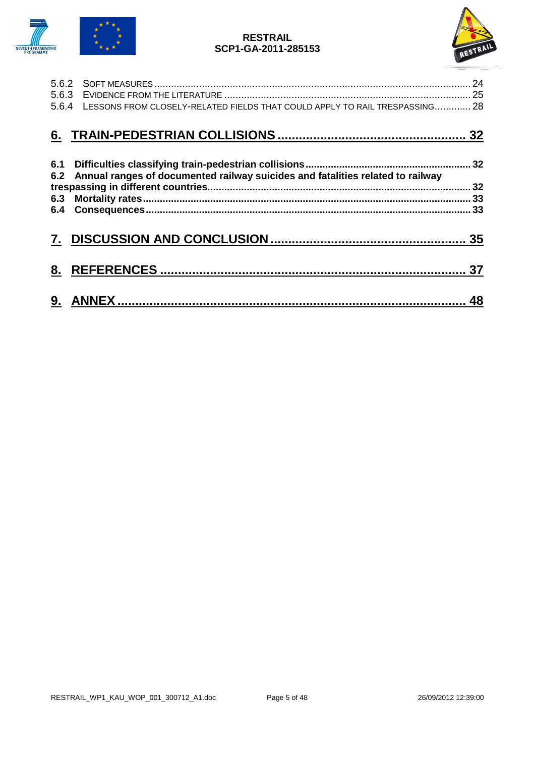



|     | 5.6.4 LESSONS FROM CLOSELY-RELATED FIELDS THAT COULD APPLY TO RAIL TRESPASSING 28 |  |
|-----|-----------------------------------------------------------------------------------|--|
|     |                                                                                   |  |
| 6.1 |                                                                                   |  |
| 6.2 | Annual ranges of documented railway suicides and fatalities related to railway    |  |
| 6.3 |                                                                                   |  |
|     |                                                                                   |  |
| 7.  |                                                                                   |  |
| 8.  |                                                                                   |  |
| 9.  |                                                                                   |  |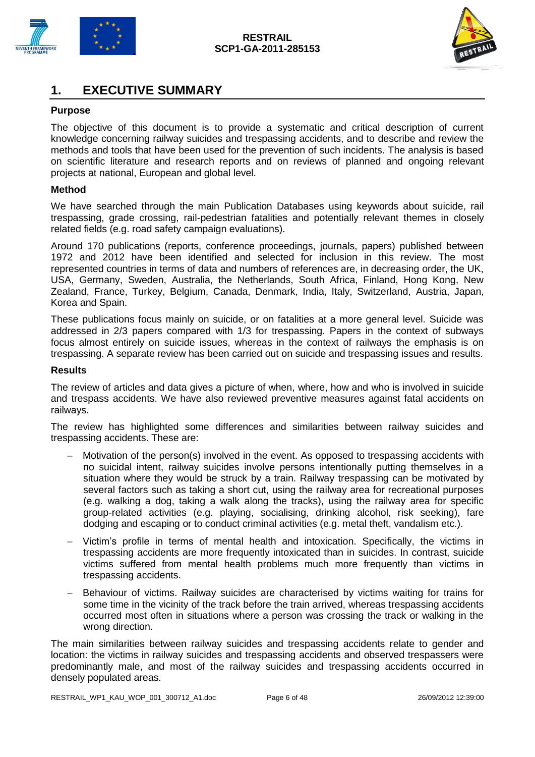



### <span id="page-5-0"></span>**1. EXECUTIVE SUMMARY**

#### **Purpose**

The objective of this document is to provide a systematic and critical description of current knowledge concerning railway suicides and trespassing accidents, and to describe and review the methods and tools that have been used for the prevention of such incidents. The analysis is based on scientific literature and research reports and on reviews of planned and ongoing relevant projects at national, European and global level.

#### **Method**

We have searched through the main Publication Databases using keywords about suicide, rail trespassing, grade crossing, rail-pedestrian fatalities and potentially relevant themes in closely related fields (e.g. road safety campaign evaluations).

Around 170 publications (reports, conference proceedings, journals, papers) published between 1972 and 2012 have been identified and selected for inclusion in this review. The most represented countries in terms of data and numbers of references are, in decreasing order, the UK, USA, Germany, Sweden, Australia, the Netherlands, South Africa, Finland, Hong Kong, New Zealand, France, Turkey, Belgium, Canada, Denmark, India, Italy, Switzerland, Austria, Japan, Korea and Spain.

These publications focus mainly on suicide, or on fatalities at a more general level. Suicide was addressed in 2/3 papers compared with 1/3 for trespassing. Papers in the context of subways focus almost entirely on suicide issues, whereas in the context of railways the emphasis is on trespassing. A separate review has been carried out on suicide and trespassing issues and results.

#### **Results**

The review of articles and data gives a picture of when, where, how and who is involved in suicide and trespass accidents. We have also reviewed preventive measures against fatal accidents on railways.

The review has highlighted some differences and similarities between railway suicides and trespassing accidents. These are:

- Motivation of the person(s) involved in the event. As opposed to trespassing accidents with no suicidal intent, railway suicides involve persons intentionally putting themselves in a situation where they would be struck by a train. Railway trespassing can be motivated by several factors such as taking a short cut, using the railway area for recreational purposes (e.g. walking a dog, taking a walk along the tracks), using the railway area for specific group-related activities (e.g. playing, socialising, drinking alcohol, risk seeking), fare dodging and escaping or to conduct criminal activities (e.g. metal theft, vandalism etc.).
- Victim's profile in terms of mental health and intoxication. Specifically, the victims in trespassing accidents are more frequently intoxicated than in suicides. In contrast, suicide victims suffered from mental health problems much more frequently than victims in trespassing accidents.
- Behaviour of victims. Railway suicides are characterised by victims waiting for trains for some time in the vicinity of the track before the train arrived, whereas trespassing accidents occurred most often in situations where a person was crossing the track or walking in the wrong direction.

The main similarities between railway suicides and trespassing accidents relate to gender and location: the victims in railway suicides and trespassing accidents and observed trespassers were predominantly male, and most of the railway suicides and trespassing accidents occurred in densely populated areas.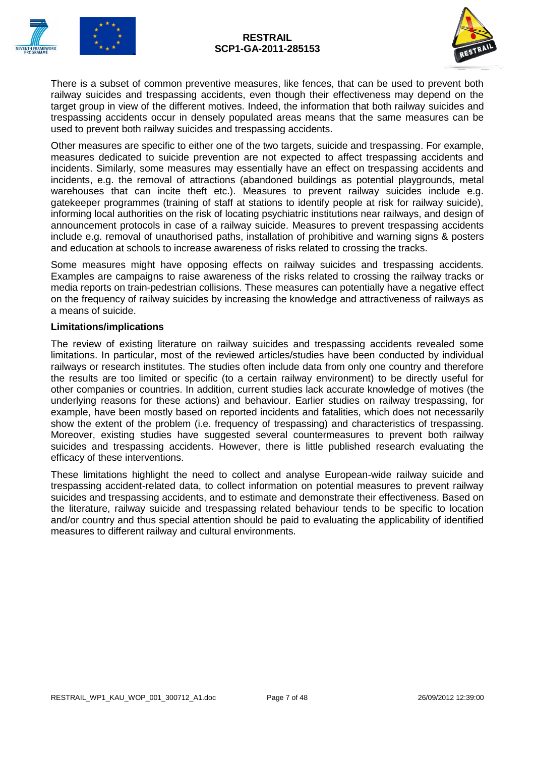



There is a subset of common preventive measures, like fences, that can be used to prevent both railway suicides and trespassing accidents, even though their effectiveness may depend on the target group in view of the different motives. Indeed, the information that both railway suicides and trespassing accidents occur in densely populated areas means that the same measures can be used to prevent both railway suicides and trespassing accidents.

Other measures are specific to either one of the two targets, suicide and trespassing. For example, measures dedicated to suicide prevention are not expected to affect trespassing accidents and incidents. Similarly, some measures may essentially have an effect on trespassing accidents and incidents, e.g. the removal of attractions (abandoned buildings as potential playgrounds, metal warehouses that can incite theft etc.). Measures to prevent railway suicides include e.g. gatekeeper programmes (training of staff at stations to identify people at risk for railway suicide), informing local authorities on the risk of locating psychiatric institutions near railways, and design of announcement protocols in case of a railway suicide. Measures to prevent trespassing accidents include e.g. removal of unauthorised paths, installation of prohibitive and warning signs & posters and education at schools to increase awareness of risks related to crossing the tracks.

Some measures might have opposing effects on railway suicides and trespassing accidents. Examples are campaigns to raise awareness of the risks related to crossing the railway tracks or media reports on train-pedestrian collisions. These measures can potentially have a negative effect on the frequency of railway suicides by increasing the knowledge and attractiveness of railways as a means of suicide.

#### **Limitations/implications**

The review of existing literature on railway suicides and trespassing accidents revealed some limitations. In particular, most of the reviewed articles/studies have been conducted by individual railways or research institutes. The studies often include data from only one country and therefore the results are too limited or specific (to a certain railway environment) to be directly useful for other companies or countries. In addition, current studies lack accurate knowledge of motives (the underlying reasons for these actions) and behaviour. Earlier studies on railway trespassing, for example, have been mostly based on reported incidents and fatalities, which does not necessarily show the extent of the problem (i.e. frequency of trespassing) and characteristics of trespassing. Moreover, existing studies have suggested several countermeasures to prevent both railway suicides and trespassing accidents. However, there is little published research evaluating the efficacy of these interventions.

These limitations highlight the need to collect and analyse European-wide railway suicide and trespassing accident-related data, to collect information on potential measures to prevent railway suicides and trespassing accidents, and to estimate and demonstrate their effectiveness. Based on the literature, railway suicide and trespassing related behaviour tends to be specific to location and/or country and thus special attention should be paid to evaluating the applicability of identified measures to different railway and cultural environments.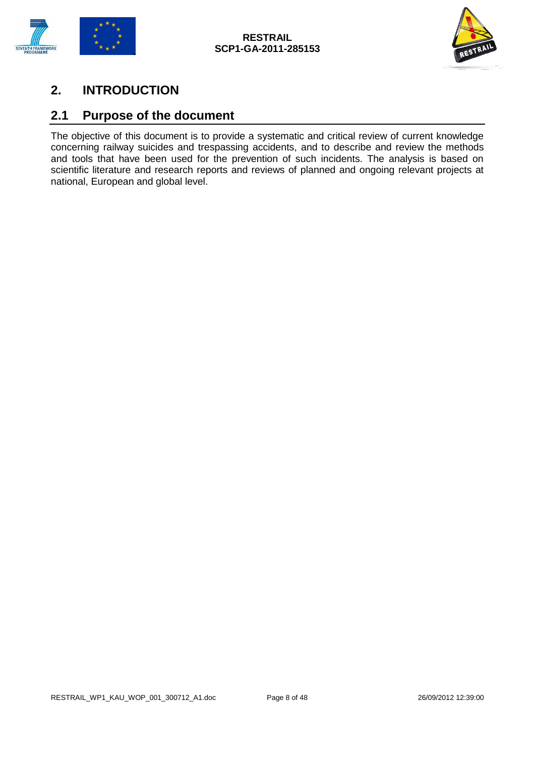



## <span id="page-7-0"></span>**2. INTRODUCTION**

### <span id="page-7-1"></span>**2.1 Purpose of the document**

The objective of this document is to provide a systematic and critical review of current knowledge concerning railway suicides and trespassing accidents, and to describe and review the methods and tools that have been used for the prevention of such incidents. The analysis is based on scientific literature and research reports and reviews of planned and ongoing relevant projects at national, European and global level.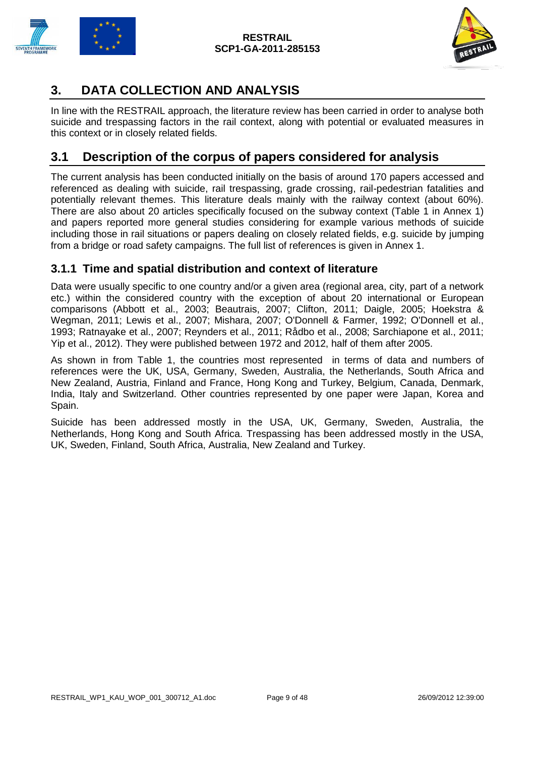

# <span id="page-8-0"></span>**3. DATA COLLECTION AND ANALYSIS**

In line with the RESTRAIL approach, the literature review has been carried in order to analyse both suicide and trespassing factors in the rail context, along with potential or evaluated measures in this context or in closely related fields.

### <span id="page-8-1"></span>**3.1 Description of the corpus of papers considered for analysis**

The current analysis has been conducted initially on the basis of around 170 papers accessed and referenced as dealing with suicide, rail trespassing, grade crossing, rail-pedestrian fatalities and potentially relevant themes. This literature deals mainly with the railway context (about 60%). There are also about 20 articles specifically focused on the subway context (Table 1 in Annex 1) and papers reported more general studies considering for example various methods of suicide including those in rail situations or papers dealing on closely related fields, e.g. suicide by jumping from a bridge or road safety campaigns. The full list of references is given in Annex 1.

#### <span id="page-8-2"></span>**3.1.1 Time and spatial distribution and context of literature**

Data were usually specific to one country and/or a given area (regional area, city, part of a network etc.) within the considered country with the exception of about 20 international or European comparisons (Abbott et al., 2003; Beautrais, 2007; Clifton, 2011; Daigle, 2005; Hoekstra & Wegman, 2011; Lewis et al., 2007; Mishara, 2007; O'Donnell & Farmer, 1992; O'Donnell et al., 1993; Ratnayake et al., 2007; Reynders et al., 2011; Rådbo et al., 2008; Sarchiapone et al., 2011; Yip et al., 2012). They were published between 1972 and 2012, half of them after 2005.

As shown in from Table 1, the countries most represented in terms of data and numbers of references were the UK, USA, Germany, Sweden, Australia, the Netherlands, South Africa and New Zealand, Austria, Finland and France, Hong Kong and Turkey, Belgium, Canada, Denmark, India, Italy and Switzerland. Other countries represented by one paper were Japan, Korea and Spain.

Suicide has been addressed mostly in the USA, UK, Germany, Sweden, Australia, the Netherlands, Hong Kong and South Africa. Trespassing has been addressed mostly in the USA, UK, Sweden, Finland, South Africa, Australia, New Zealand and Turkey.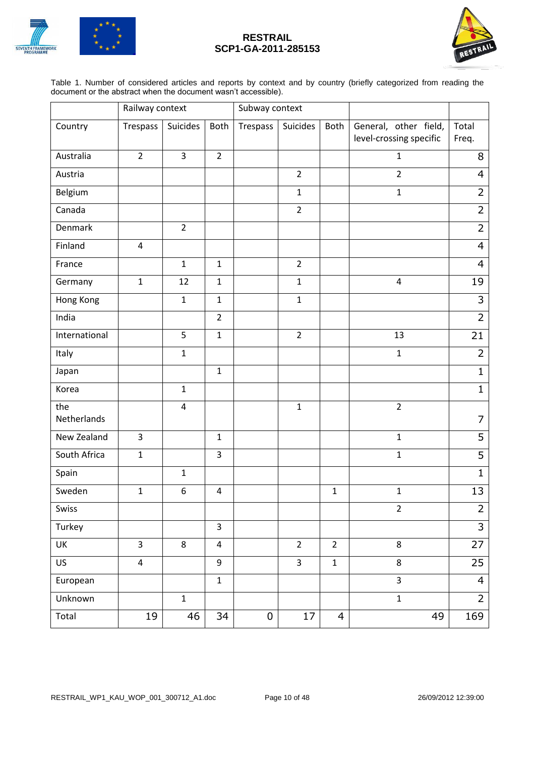



Table 1. Number of considered articles and reports by context and by country (briefly categorized from reading the document or the abstract when the document wasn't accessible).

|                    | Railway context         |                |                | Subway context |                |                |                                                  |                |
|--------------------|-------------------------|----------------|----------------|----------------|----------------|----------------|--------------------------------------------------|----------------|
| Country            | Trespass                | Suicides       | Both           | Trespass       | Suicides       | Both           | General, other field,<br>level-crossing specific | Total<br>Freq. |
| Australia          | $\overline{2}$          | 3              | $\overline{2}$ |                |                |                | $\mathbf{1}$                                     | 8              |
| Austria            |                         |                |                |                | $\overline{2}$ |                | $\overline{2}$                                   | 4              |
| Belgium            |                         |                |                |                | $\mathbf 1$    |                | $\mathbf{1}$                                     | $\overline{2}$ |
| Canada             |                         |                |                |                | $\overline{2}$ |                |                                                  | $\overline{2}$ |
| Denmark            |                         | $\overline{2}$ |                |                |                |                |                                                  | $\overline{2}$ |
| Finland            | $\overline{4}$          |                |                |                |                |                |                                                  | $\overline{4}$ |
| France             |                         | $\mathbf{1}$   | $\mathbf{1}$   |                | $\overline{2}$ |                |                                                  | $\overline{4}$ |
| Germany            | $\mathbf{1}$            | 12             | $\mathbf{1}$   |                | $\mathbf{1}$   |                | $\overline{4}$                                   | 19             |
| Hong Kong          |                         | $\mathbf{1}$   | $\mathbf{1}$   |                | $\mathbf 1$    |                |                                                  | 3              |
| India              |                         |                | $\overline{2}$ |                |                |                |                                                  | $\overline{2}$ |
| International      |                         | 5              | $\mathbf{1}$   |                | $\overline{2}$ |                | 13                                               | 21             |
| Italy              |                         | $\mathbf{1}$   |                |                |                |                | $\mathbf 1$                                      | $\overline{2}$ |
| Japan              |                         |                | $\mathbf{1}$   |                |                |                |                                                  | $\mathbf{1}$   |
| Korea              |                         | $\mathbf{1}$   |                |                |                |                |                                                  | $\mathbf{1}$   |
| the<br>Netherlands |                         | $\overline{4}$ |                |                | $\mathbf 1$    |                | $\overline{2}$                                   | 7              |
| New Zealand        | $\overline{3}$          |                | $\mathbf{1}$   |                |                |                | $\mathbf{1}$                                     | $\overline{5}$ |
| South Africa       | $\mathbf{1}$            |                | 3              |                |                |                | $\mathbf{1}$                                     | 5              |
| Spain              |                         | $\mathbf{1}$   |                |                |                |                |                                                  | $\mathbf{1}$   |
| Sweden             | $\mathbf{1}$            | 6              | $\overline{4}$ |                |                | $\mathbf{1}$   | $\mathbf{1}$                                     | 13             |
| Swiss              |                         |                |                |                |                |                | $\overline{2}$                                   | $\overline{2}$ |
| Turkey             |                         |                | $\overline{3}$ |                |                |                |                                                  | $\overline{3}$ |
| UK                 | $\overline{3}$          | 8              | $\overline{4}$ |                | $\overline{2}$ | $\overline{2}$ | 8                                                | 27             |
| US                 | $\overline{\mathbf{4}}$ |                | 9              |                | 3              | $\mathbf 1$    | 8                                                | 25             |
| European           |                         |                | $\mathbf{1}$   |                |                |                | $\overline{3}$                                   | $\overline{4}$ |
| Unknown            |                         | $\mathbf 1$    |                |                |                |                | $\mathbf 1$                                      | $\overline{2}$ |
| Total              | 19                      | 46             | 34             | $\mathbf 0$    | 17             | 4              | 49                                               | 169            |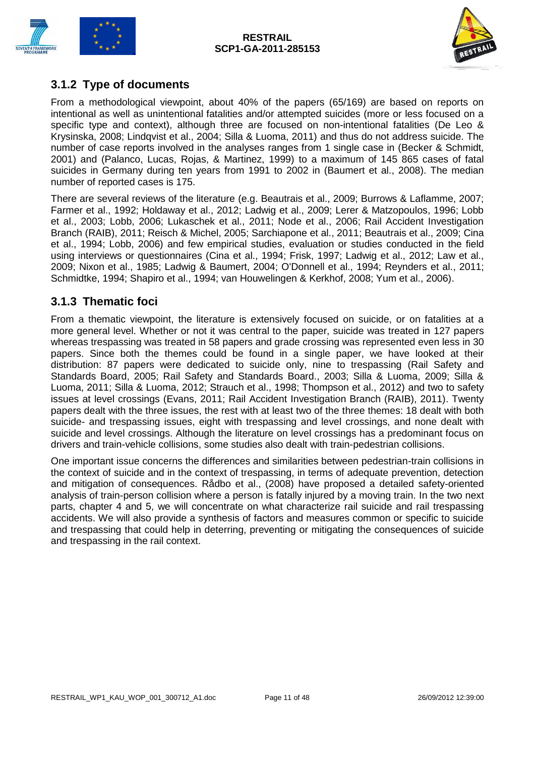



#### <span id="page-10-0"></span>**3.1.2 Type of documents**

From a methodological viewpoint, about 40% of the papers (65/169) are based on reports on intentional as well as unintentional fatalities and/or attempted suicides (more or less focused on a specific type and context), although three are focused on non-intentional fatalities (De Leo & Krysinska, 2008; Lindqvist et al., 2004; Silla & Luoma, 2011) and thus do not address suicide. The number of case reports involved in the analyses ranges from 1 single case in (Becker & Schmidt, 2001) and (Palanco, Lucas, Rojas, & Martinez, 1999) to a maximum of 145 865 cases of fatal suicides in Germany during ten years from 1991 to 2002 in (Baumert et al., 2008). The median number of reported cases is 175.

There are several reviews of the literature (e.g. Beautrais et al., 2009; Burrows & Laflamme, 2007; Farmer et al., 1992; Holdaway et al., 2012; Ladwig et al., 2009; Lerer & Matzopoulos, 1996; Lobb et al., 2003; Lobb, 2006; Lukaschek et al., 2011; Node et al., 2006; Rail Accident Investigation Branch (RAIB), 2011; Reisch & Michel, 2005; Sarchiapone et al., 2011; Beautrais et al., 2009; Cina et al., 1994; Lobb, 2006) and few empirical studies, evaluation or studies conducted in the field using interviews or questionnaires (Cina et al., 1994; Frisk, 1997; Ladwig et al., 2012; Law et al., 2009; Nixon et al., 1985; Ladwig & Baumert, 2004; O'Donnell et al., 1994; Reynders et al., 2011; Schmidtke, 1994; Shapiro et al., 1994; van Houwelingen & Kerkhof, 2008; Yum et al., 2006).

#### <span id="page-10-1"></span>**3.1.3 Thematic foci**

From a thematic viewpoint, the literature is extensively focused on suicide, or on fatalities at a more general level. Whether or not it was central to the paper, suicide was treated in 127 papers whereas trespassing was treated in 58 papers and grade crossing was represented even less in 30 papers. Since both the themes could be found in a single paper, we have looked at their distribution: 87 papers were dedicated to suicide only, nine to trespassing (Rail Safety and Standards Board, 2005; Rail Safety and Standards Board., 2003; Silla & Luoma, 2009; Silla & Luoma, 2011; Silla & Luoma, 2012; Strauch et al., 1998; Thompson et al., 2012) and two to safety issues at level crossings (Evans, 2011; Rail Accident Investigation Branch (RAIB), 2011). Twenty papers dealt with the three issues, the rest with at least two of the three themes: 18 dealt with both suicide- and trespassing issues, eight with trespassing and level crossings, and none dealt with suicide and level crossings. Although the literature on level crossings has a predominant focus on drivers and train-vehicle collisions, some studies also dealt with train-pedestrian collisions.

One important issue concerns the differences and similarities between pedestrian-train collisions in the context of suicide and in the context of trespassing, in terms of adequate prevention, detection and mitigation of consequences. Rådbo et al., (2008) have proposed a detailed safety-oriented analysis of train-person collision where a person is fatally injured by a moving train. In the two next parts, chapter 4 and 5, we will concentrate on what characterize rail suicide and rail trespassing accidents. We will also provide a synthesis of factors and measures common or specific to suicide and trespassing that could help in deterring, preventing or mitigating the consequences of suicide and trespassing in the rail context.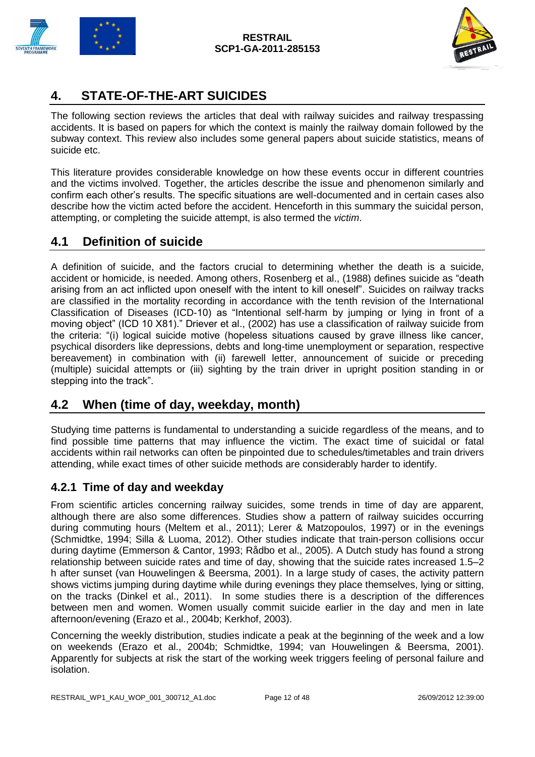



### <span id="page-11-0"></span>**4. STATE-OF-THE-ART SUICIDES**

The following section reviews the articles that deal with railway suicides and railway trespassing accidents. It is based on papers for which the context is mainly the railway domain followed by the subway context. This review also includes some general papers about suicide statistics, means of suicide etc.

This literature provides considerable knowledge on how these events occur in different countries and the victims involved. Together, the articles describe the issue and phenomenon similarly and confirm each other's results. The specific situations are well-documented and in certain cases also describe how the victim acted before the accident. Henceforth in this summary the suicidal person, attempting, or completing the suicide attempt, is also termed the *victim*.

### <span id="page-11-1"></span>**4.1 Definition of suicide**

A definition of suicide, and the factors crucial to determining whether the death is a suicide, accident or homicide, is needed. Among others, Rosenberg et al., (1988) defines suicide as "death arising from an act inflicted upon oneself with the intent to kill oneself". Suicides on railway tracks are classified in the mortality recording in accordance with the tenth revision of the International Classification of Diseases (ICD-10) as "Intentional self-harm by jumping or lying in front of a moving object" (ICD 10 X81)." Driever et al., (2002) has use a classification of railway suicide from the criteria: "(i) logical suicide motive (hopeless situations caused by grave illness like cancer, psychical disorders like depressions, debts and long-time unemployment or separation, respective bereavement) in combination with (ii) farewell letter, announcement of suicide or preceding (multiple) suicidal attempts or (iii) sighting by the train driver in upright position standing in or stepping into the track".

### <span id="page-11-2"></span>**4.2 When (time of day, weekday, month)**

Studying time patterns is fundamental to understanding a suicide regardless of the means, and to find possible time patterns that may influence the victim. The exact time of suicidal or fatal accidents within rail networks can often be pinpointed due to schedules/timetables and train drivers attending, while exact times of other suicide methods are considerably harder to identify.

### <span id="page-11-3"></span>**4.2.1 Time of day and weekday**

From scientific articles concerning railway suicides, some trends in time of day are apparent, although there are also some differences. Studies show a pattern of railway suicides occurring during commuting hours (Meltem et al., 2011); Lerer & Matzopoulos, 1997) or in the evenings (Schmidtke, 1994; Silla & Luoma, 2012). Other studies indicate that train-person collisions occur during daytime (Emmerson & Cantor, 1993; Rådbo et al., 2005). A Dutch study has found a strong relationship between suicide rates and time of day, showing that the suicide rates increased 1.5–2 h after sunset (van Houwelingen & Beersma, 2001). In a large study of cases, the activity pattern shows victims jumping during daytime while during evenings they place themselves, lying or sitting, on the tracks (Dinkel et al., 2011). In some studies there is a description of the differences between men and women. Women usually commit suicide earlier in the day and men in late afternoon/evening (Erazo et al., 2004b; Kerkhof, 2003).

Concerning the weekly distribution, studies indicate a peak at the beginning of the week and a low on weekends (Erazo et al., 2004b; Schmidtke, 1994; van Houwelingen & Beersma, 2001). Apparently for subjects at risk the start of the working week triggers feeling of personal failure and isolation.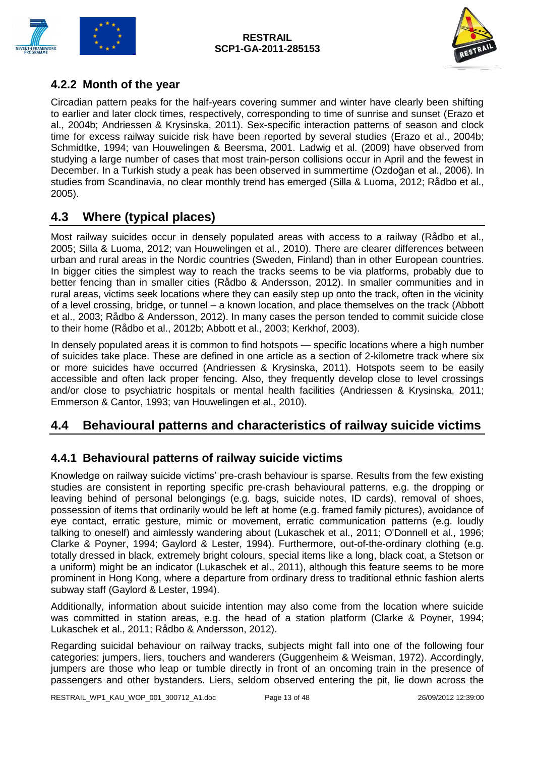



### <span id="page-12-0"></span>**4.2.2 Month of the year**

Circadian pattern peaks for the half-years covering summer and winter have clearly been shifting to earlier and later clock times, respectively, corresponding to time of sunrise and sunset (Erazo et al., 2004b; Andriessen & Krysinska, 2011). Sex-specific interaction patterns of season and clock time for excess railway suicide risk have been reported by several studies (Erazo et al., 2004b; Schmidtke, 1994; van Houwelingen & Beersma, 2001. Ladwig et al. (2009) have observed from studying a large number of cases that most train-person collisions occur in April and the fewest in December. In a Turkish study a peak has been observed in summertime (Ozdoğan et al., 2006). In studies from Scandinavia, no clear monthly trend has emerged (Silla & Luoma, 2012; Rådbo et al., 2005).

### <span id="page-12-1"></span>**4.3 Where (typical places)**

Most railway suicides occur in densely populated areas with access to a railway (Rådbo et al., 2005; Silla & Luoma, 2012; van Houwelingen et al., 2010). There are clearer differences between urban and rural areas in the Nordic countries (Sweden, Finland) than in other European countries. In bigger cities the simplest way to reach the tracks seems to be via platforms, probably due to better fencing than in smaller cities (Rådbo & Andersson, 2012). In smaller communities and in rural areas, victims seek locations where they can easily step up onto the track, often in the vicinity of a level crossing, bridge, or tunnel – a known location, and place themselves on the track (Abbott et al., 2003; Rådbo & Andersson, 2012). In many cases the person tended to commit suicide close to their home (Rådbo et al., 2012b; Abbott et al., 2003; Kerkhof, 2003).

In densely populated areas it is common to find hotspots — specific locations where a high number of suicides take place. These are defined in one article as a section of 2-kilometre track where six or more suicides have occurred (Andriessen & Krysinska, 2011). Hotspots seem to be easily accessible and often lack proper fencing. Also, they frequently develop close to level crossings and/or close to psychiatric hospitals or mental health facilities (Andriessen & Krysinska, 2011; Emmerson & Cantor, 1993; van Houwelingen et al., 2010).

### <span id="page-12-2"></span>**4.4 Behavioural patterns and characteristics of railway suicide victims**

### <span id="page-12-3"></span>**4.4.1 Behavioural patterns of railway suicide victims**

Knowledge on railway suicide victims' pre-crash behaviour is sparse. Results from the few existing studies are consistent in reporting specific pre-crash behavioural patterns, e.g. the dropping or leaving behind of personal belongings (e.g. bags, suicide notes, ID cards), removal of shoes, possession of items that ordinarily would be left at home (e.g. framed family pictures), avoidance of eye contact, erratic gesture, mimic or movement, erratic communication patterns (e.g. loudly talking to oneself) and aimlessly wandering about (Lukaschek et al., 2011; O'Donnell et al., 1996; Clarke & Poyner, 1994; Gaylord & Lester, 1994). Furthermore, out-of-the-ordinary clothing (e.g. totally dressed in black, extremely bright colours, special items like a long, black coat, a Stetson or a uniform) might be an indicator (Lukaschek et al., 2011), although this feature seems to be more prominent in Hong Kong, where a departure from ordinary dress to traditional ethnic fashion alerts subway staff (Gaylord & Lester, 1994).

Additionally, information about suicide intention may also come from the location where suicide was committed in station areas, e.g. the head of a station platform (Clarke & Poyner, 1994; Lukaschek et al., 2011; Rådbo & Andersson, 2012).

Regarding suicidal behaviour on railway tracks, subjects might fall into one of the following four categories: jumpers, liers, touchers and wanderers (Guggenheim & Weisman, 1972). Accordingly, jumpers are those who leap or tumble directly in front of an oncoming train in the presence of passengers and other bystanders. Liers, seldom observed entering the pit, lie down across the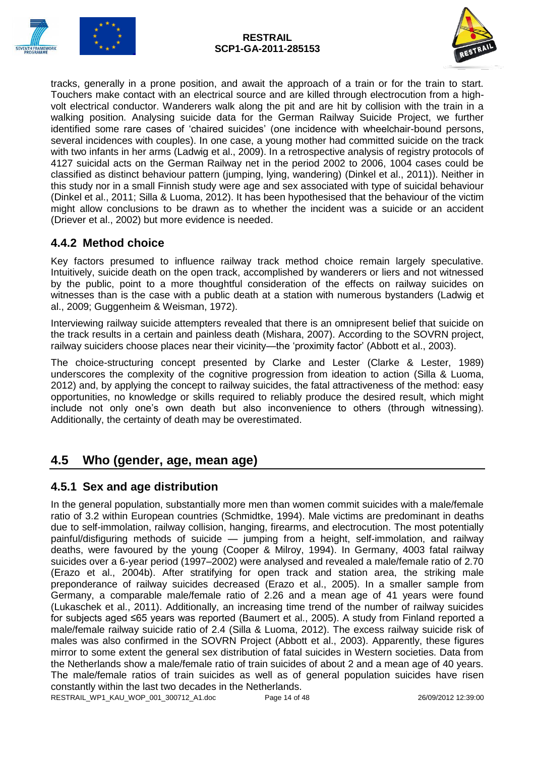



tracks, generally in a prone position, and await the approach of a train or for the train to start. Touchers make contact with an electrical source and are killed through electrocution from a highvolt electrical conductor. Wanderers walk along the pit and are hit by collision with the train in a walking position. Analysing suicide data for the German Railway Suicide Project, we further identified some rare cases of 'chaired suicides' (one incidence with wheelchair-bound persons, several incidences with couples). In one case, a young mother had committed suicide on the track with two infants in her arms (Ladwig et al., 2009). In a retrospective analysis of registry protocols of 4127 suicidal acts on the German Railway net in the period 2002 to 2006, 1004 cases could be classified as distinct behaviour pattern (jumping, lying, wandering) (Dinkel et al., 2011)). Neither in this study nor in a small Finnish study were age and sex associated with type of suicidal behaviour (Dinkel et al., 2011; Silla & Luoma, 2012). It has been hypothesised that the behaviour of the victim might allow conclusions to be drawn as to whether the incident was a suicide or an accident (Driever et al., 2002) but more evidence is needed.

#### <span id="page-13-0"></span>**4.4.2 Method choice**

Key factors presumed to influence railway track method choice remain largely speculative. Intuitively, suicide death on the open track, accomplished by wanderers or liers and not witnessed by the public, point to a more thoughtful consideration of the effects on railway suicides on witnesses than is the case with a public death at a station with numerous bystanders (Ladwig et al., 2009; Guggenheim & Weisman, 1972).

Interviewing railway suicide attempters revealed that there is an omnipresent belief that suicide on the track results in a certain and painless death (Mishara, 2007). According to the SOVRN project, railway suiciders choose places near their vicinity—the 'proximity factor' (Abbott et al., 2003).

The choice-structuring concept presented by Clarke and Lester (Clarke & Lester, 1989) underscores the complexity of the cognitive progression from ideation to action (Silla & Luoma, 2012) and, by applying the concept to railway suicides, the fatal attractiveness of the method: easy opportunities, no knowledge or skills required to reliably produce the desired result, which might include not only one's own death but also inconvenience to others (through witnessing). Additionally, the certainty of death may be overestimated.

## <span id="page-13-1"></span>**4.5 Who (gender, age, mean age)**

### <span id="page-13-2"></span>**4.5.1 Sex and age distribution**

RESTRAIL\_WP1\_KAU\_WOP\_001\_300712\_A1.doc Page 14 of 48 26/09/2012 12:39:00 In the general population, substantially more men than women commit suicides with a male/female ratio of 3.2 within European countries (Schmidtke, 1994). Male victims are predominant in deaths due to self-immolation, railway collision, hanging, firearms, and electrocution. The most potentially painful/disfiguring methods of suicide — jumping from a height, self-immolation, and railway deaths, were favoured by the young (Cooper & Milroy, 1994). In Germany, 4003 fatal railway suicides over a 6-year period (1997–2002) were analysed and revealed a male/female ratio of 2.70 (Erazo et al., 2004b). After stratifying for open track and station area, the striking male preponderance of railway suicides decreased (Erazo et al., 2005). In a smaller sample from Germany, a comparable male/female ratio of 2.26 and a mean age of 41 years were found (Lukaschek et al., 2011). Additionally, an increasing time trend of the number of railway suicides for subjects aged ≤65 years was reported (Baumert et al., 2005). A study from Finland reported a male/female railway suicide ratio of 2.4 (Silla & Luoma, 2012). The excess railway suicide risk of males was also confirmed in the SOVRN Project (Abbott et al., 2003). Apparently, these figures mirror to some extent the general sex distribution of fatal suicides in Western societies. Data from the Netherlands show a male/female ratio of train suicides of about 2 and a mean age of 40 years. The male/female ratios of train suicides as well as of general population suicides have risen constantly within the last two decades in the Netherlands.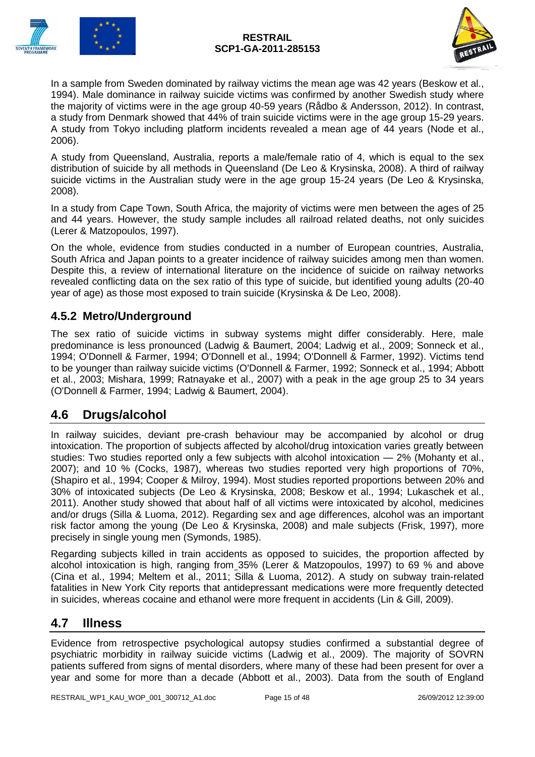



In a sample from Sweden dominated by railway victims the mean age was 42 years (Beskow et al., 1994). Male dominance in railway suicide victims was confirmed by another Swedish study where the majority of victims were in the age group 40-59 years (Rådbo & Andersson, 2012). In contrast, a study from Denmark showed that 44% of train suicide victims were in the age group 15-29 years. A study from Tokyo including platform incidents revealed a mean age of 44 years (Node et al., 2006).

A study from Queensland, Australia, reports a male/female ratio of 4, which is equal to the sex distribution of suicide by all methods in Queensland (De Leo & Krysinska, 2008). A third of railway suicide victims in the Australian study were in the age group 15-24 years (De Leo & Krysinska, 2008).

In a study from Cape Town, South Africa, the majority of victims were men between the ages of 25 and 44 years. However, the study sample includes all railroad related deaths, not only suicides (Lerer & Matzopoulos, 1997).

On the whole, evidence from studies conducted in a number of European countries, Australia, South Africa and Japan points to a greater incidence of railway suicides among men than women. Despite this, a review of international literature on the incidence of suicide on railway networks revealed conflicting data on the sex ratio of this type of suicide, but identified young adults (20-40 year of age) as those most exposed to train suicide (Krysinska & De Leo, 2008).

### <span id="page-14-0"></span>**4.5.2 Metro/Underground**

The sex ratio of suicide victims in subway systems might differ considerably. Here, male predominance is less pronounced (Ladwig & Baumert, 2004; Ladwig et al., 2009; Sonneck et al., 1994; O'Donnell & Farmer, 1994; O'Donnell et al., 1994; O'Donnell & Farmer, 1992). Victims tend to be younger than railway suicide victims (O'Donnell & Farmer, 1992; Sonneck et al., 1994; Abbott et al., 2003; Mishara, 1999; Ratnayake et al., 2007) with a peak in the age group 25 to 34 years (O'Donnell & Farmer, 1994; Ladwig & Baumert, 2004).

### <span id="page-14-1"></span>**4.6 Drugs/alcohol**

In railway suicides, deviant pre-crash behaviour may be accompanied by alcohol or drug intoxication. The proportion of subjects affected by alcohol/drug intoxication varies greatly between studies: Two studies reported only a few subjects with alcohol intoxication — 2% (Mohanty et al., 2007); and 10 % (Cocks, 1987), whereas two studies reported very high proportions of 70%, (Shapiro et al., 1994; Cooper & Milroy, 1994). Most studies reported proportions between 20% and 30% of intoxicated subjects (De Leo & Krysinska, 2008; Beskow et al., 1994; Lukaschek et al., 2011). Another study showed that about half of all victims were intoxicated by alcohol, medicines and/or drugs (Silla & Luoma, 2012). Regarding sex and age differences, alcohol was an important risk factor among the young (De Leo & Krysinska, 2008) and male subjects (Frisk, 1997), more precisely in single young men (Symonds, 1985).

Regarding subjects killed in train accidents as opposed to suicides, the proportion affected by alcohol intoxication is high, ranging from 35% (Lerer & Matzopoulos, 1997) to 69 % and above (Cina et al., 1994; Meltem et al., 2011; Silla & Luoma, 2012). A study on subway train-related fatalities in New York City reports that antidepressant medications were more frequently detected in suicides, whereas cocaine and ethanol were more frequent in accidents (Lin & Gill, 2009).

### <span id="page-14-2"></span>**4.7 Illness**

Evidence from retrospective psychological autopsy studies confirmed a substantial degree of psychiatric morbidity in railway suicide victims (Ladwig et al., 2009). The majority of SOVRN patients suffered from signs of mental disorders, where many of these had been present for over a year and some for more than a decade (Abbott et al., 2003). Data from the south of England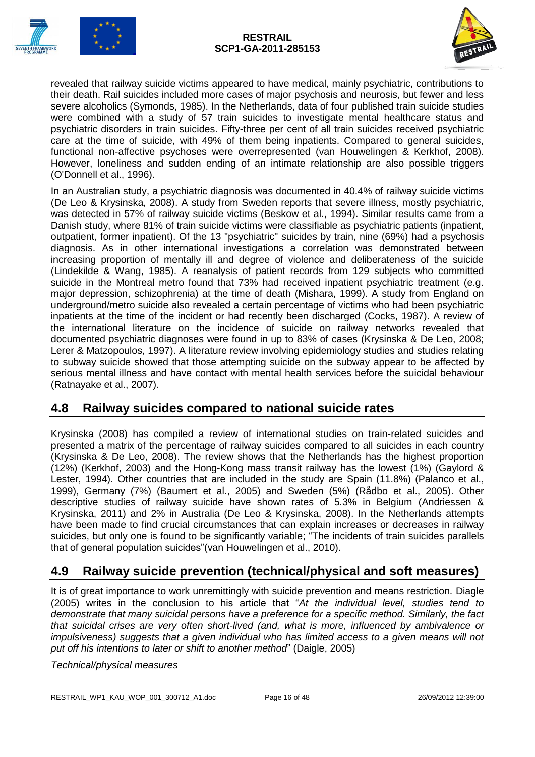



revealed that railway suicide victims appeared to have medical, mainly psychiatric, contributions to their death. Rail suicides included more cases of major psychosis and neurosis, but fewer and less severe alcoholics (Symonds, 1985). In the Netherlands, data of four published train suicide studies were combined with a study of 57 train suicides to investigate mental healthcare status and psychiatric disorders in train suicides. Fifty-three per cent of all train suicides received psychiatric care at the time of suicide, with 49% of them being inpatients. Compared to general suicides, functional non-affective psychoses were overrepresented (van Houwelingen & Kerkhof, 2008). However, loneliness and sudden ending of an intimate relationship are also possible triggers (O'Donnell et al., 1996).

In an Australian study, a psychiatric diagnosis was documented in 40.4% of railway suicide victims (De Leo & Krysinska, 2008). A study from Sweden reports that severe illness, mostly psychiatric, was detected in 57% of railway suicide victims (Beskow et al., 1994). Similar results came from a Danish study, where 81% of train suicide victims were classifiable as psychiatric patients (inpatient, outpatient, former inpatient). Of the 13 "psychiatric" suicides by train, nine (69%) had a psychosis diagnosis. As in other international investigations a correlation was demonstrated between increasing proportion of mentally ill and degree of violence and deliberateness of the suicide (Lindekilde & Wang, 1985). A reanalysis of patient records from 129 subjects who committed suicide in the Montreal metro found that 73% had received inpatient psychiatric treatment (e.g. major depression, schizophrenia) at the time of death (Mishara, 1999). A study from England on underground/metro suicide also revealed a certain percentage of victims who had been psychiatric inpatients at the time of the incident or had recently been discharged (Cocks, 1987). A review of the international literature on the incidence of suicide on railway networks revealed that documented psychiatric diagnoses were found in up to 83% of cases (Krysinska & De Leo, 2008; Lerer & Matzopoulos, 1997). A literature review involving epidemiology studies and studies relating to subway suicide showed that those attempting suicide on the subway appear to be affected by serious mental illness and have contact with mental health services before the suicidal behaviour (Ratnayake et al., 2007).

### <span id="page-15-0"></span>**4.8 Railway suicides compared to national suicide rates**

Krysinska (2008) has compiled a review of international studies on train-related suicides and presented a matrix of the percentage of railway suicides compared to all suicides in each country (Krysinska & De Leo, 2008). The review shows that the Netherlands has the highest proportion (12%) (Kerkhof, 2003) and the Hong-Kong mass transit railway has the lowest (1%) (Gaylord & Lester, 1994). Other countries that are included in the study are Spain (11.8%) (Palanco et al., 1999), Germany (7%) (Baumert et al., 2005) and Sweden (5%) (Rådbo et al., 2005). Other descriptive studies of railway suicide have shown rates of 5.3% in Belgium (Andriessen & Krysinska, 2011) and 2% in Australia (De Leo & Krysinska, 2008). In the Netherlands attempts have been made to find crucial circumstances that can explain increases or decreases in railway suicides, but only one is found to be significantly variable; "The incidents of train suicides parallels that of general population suicides"(van Houwelingen et al., 2010).

### <span id="page-15-1"></span>**4.9 Railway suicide prevention (technical/physical and soft measures)**

It is of great importance to work unremittingly with suicide prevention and means restriction. Diagle (2005) writes in the conclusion to his article that "*At the individual level, studies tend to demonstrate that many suicidal persons have a preference for a specific method. Similarly, the fact that suicidal crises are very often short-lived (and, what is more, influenced by ambivalence or impulsiveness) suggests that a given individual who has limited access to a given means will not put off his intentions to later or shift to another method*" (Daigle, 2005)

*Technical/physical measures*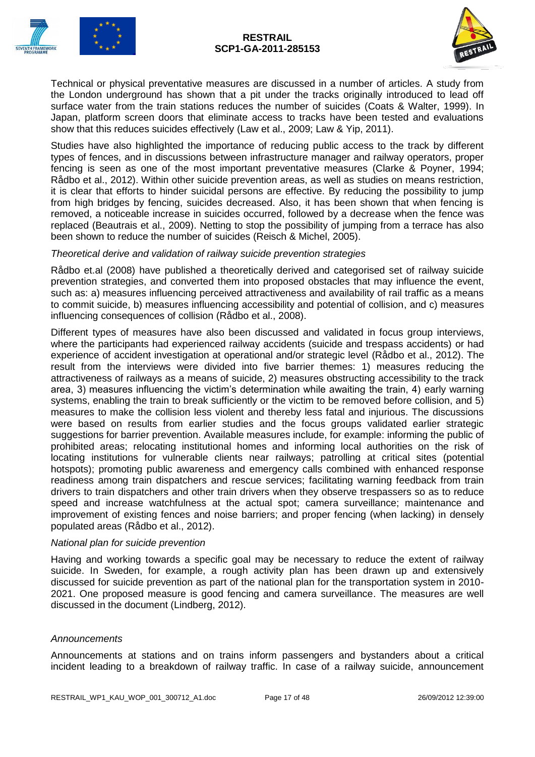



Technical or physical preventative measures are discussed in a number of articles. A study from the London underground has shown that a pit under the tracks originally introduced to lead off surface water from the train stations reduces the number of suicides (Coats & Walter, 1999). In Japan, platform screen doors that eliminate access to tracks have been tested and evaluations show that this reduces suicides effectively (Law et al., 2009; Law & Yip, 2011).

Studies have also highlighted the importance of reducing public access to the track by different types of fences, and in discussions between infrastructure manager and railway operators, proper fencing is seen as one of the most important preventative measures (Clarke & Poyner, 1994; Rådbo et al., 2012). Within other suicide prevention areas, as well as studies on means restriction, it is clear that efforts to hinder suicidal persons are effective. By reducing the possibility to jump from high bridges by fencing, suicides decreased. Also, it has been shown that when fencing is removed, a noticeable increase in suicides occurred, followed by a decrease when the fence was replaced (Beautrais et al., 2009). Netting to stop the possibility of jumping from a terrace has also been shown to reduce the number of suicides (Reisch & Michel, 2005).

#### *Theoretical derive and validation of railway suicide prevention strategies*

Rådbo et.al (2008) have published a theoretically derived and categorised set of railway suicide prevention strategies, and converted them into proposed obstacles that may influence the event, such as: a) measures influencing perceived attractiveness and availability of rail traffic as a means to commit suicide, b) measures influencing accessibility and potential of collision, and c) measures influencing consequences of collision (Rådbo et al., 2008).

Different types of measures have also been discussed and validated in focus group interviews, where the participants had experienced railway accidents (suicide and trespass accidents) or had experience of accident investigation at operational and/or strategic level (Rådbo et al., 2012). The result from the interviews were divided into five barrier themes: 1) measures reducing the attractiveness of railways as a means of suicide, 2) measures obstructing accessibility to the track area, 3) measures influencing the victim's determination while awaiting the train, 4) early warning systems, enabling the train to break sufficiently or the victim to be removed before collision, and 5) measures to make the collision less violent and thereby less fatal and injurious. The discussions were based on results from earlier studies and the focus groups validated earlier strategic suggestions for barrier prevention. Available measures include, for example: informing the public of prohibited areas; relocating institutional homes and informing local authorities on the risk of locating institutions for vulnerable clients near railways; patrolling at critical sites (potential hotspots); promoting public awareness and emergency calls combined with enhanced response readiness among train dispatchers and rescue services; facilitating warning feedback from train drivers to train dispatchers and other train drivers when they observe trespassers so as to reduce speed and increase watchfulness at the actual spot; camera surveillance; maintenance and improvement of existing fences and noise barriers; and proper fencing (when lacking) in densely populated areas (Rådbo et al., 2012).

#### *National plan for suicide prevention*

Having and working towards a specific goal may be necessary to reduce the extent of railway suicide. In Sweden, for example, a rough activity plan has been drawn up and extensively discussed for suicide prevention as part of the national plan for the transportation system in 2010- 2021. One proposed measure is good fencing and camera surveillance. The measures are well discussed in the document (Lindberg, 2012).

#### *Announcements*

Announcements at stations and on trains inform passengers and bystanders about a critical incident leading to a breakdown of railway traffic. In case of a railway suicide, announcement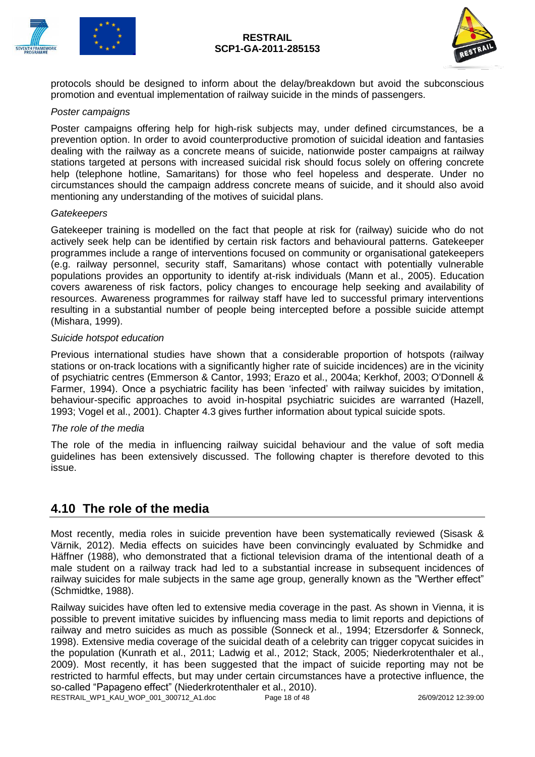



protocols should be designed to inform about the delay/breakdown but avoid the subconscious promotion and eventual implementation of railway suicide in the minds of passengers.

#### *Poster campaigns*

Poster campaigns offering help for high-risk subjects may, under defined circumstances, be a prevention option. In order to avoid counterproductive promotion of suicidal ideation and fantasies dealing with the railway as a concrete means of suicide, nationwide poster campaigns at railway stations targeted at persons with increased suicidal risk should focus solely on offering concrete help (telephone hotline, Samaritans) for those who feel hopeless and desperate. Under no circumstances should the campaign address concrete means of suicide, and it should also avoid mentioning any understanding of the motives of suicidal plans.

#### *Gatekeepers*

Gatekeeper training is modelled on the fact that people at risk for (railway) suicide who do not actively seek help can be identified by certain risk factors and behavioural patterns. Gatekeeper programmes include a range of interventions focused on community or organisational gatekeepers (e.g. railway personnel, security staff, Samaritans) whose contact with potentially vulnerable populations provides an opportunity to identify at-risk individuals (Mann et al., 2005). Education covers awareness of risk factors, policy changes to encourage help seeking and availability of resources. Awareness programmes for railway staff have led to successful primary interventions resulting in a substantial number of people being intercepted before a possible suicide attempt (Mishara, 1999).

#### *Suicide hotspot education*

Previous international studies have shown that a considerable proportion of hotspots (railway stations or on-track locations with a significantly higher rate of suicide incidences) are in the vicinity of psychiatric centres (Emmerson & Cantor, 1993; Erazo et al., 2004a; Kerkhof, 2003; O'Donnell & Farmer, 1994). Once a psychiatric facility has been 'infected' with railway suicides by imitation, behaviour-specific approaches to avoid in-hospital psychiatric suicides are warranted (Hazell, 1993; Vogel et al., 2001). Chapter 4.3 gives further information about typical suicide spots.

#### *The role of the media*

The role of the media in influencing railway suicidal behaviour and the value of soft media guidelines has been extensively discussed. The following chapter is therefore devoted to this issue.

#### <span id="page-17-0"></span>**4.10 The role of the media**

Most recently, media roles in suicide prevention have been systematically reviewed (Sisask & Värnik, 2012). Media effects on suicides have been convincingly evaluated by Schmidke and Häffner (1988), who demonstrated that a fictional television drama of the intentional death of a male student on a railway track had led to a substantial increase in subsequent incidences of railway suicides for male subjects in the same age group, generally known as the "Werther effect" (Schmidtke, 1988).

RESTRAIL\_WP1\_KAU\_WOP\_001\_300712\_A1.doc Page 18 of 48 26/09/2012 12:39:00 Railway suicides have often led to extensive media coverage in the past. As shown in Vienna, it is possible to prevent imitative suicides by influencing mass media to limit reports and depictions of railway and metro suicides as much as possible (Sonneck et al., 1994; Etzersdorfer & Sonneck, 1998). Extensive media coverage of the suicidal death of a celebrity can trigger copycat suicides in the population (Kunrath et al., 2011; Ladwig et al., 2012; Stack, 2005; Niederkrotenthaler et al., 2009). Most recently, it has been suggested that the impact of suicide reporting may not be restricted to harmful effects, but may under certain circumstances have a protective influence, the so-called "Papageno effect" (Niederkrotenthaler et al., 2010).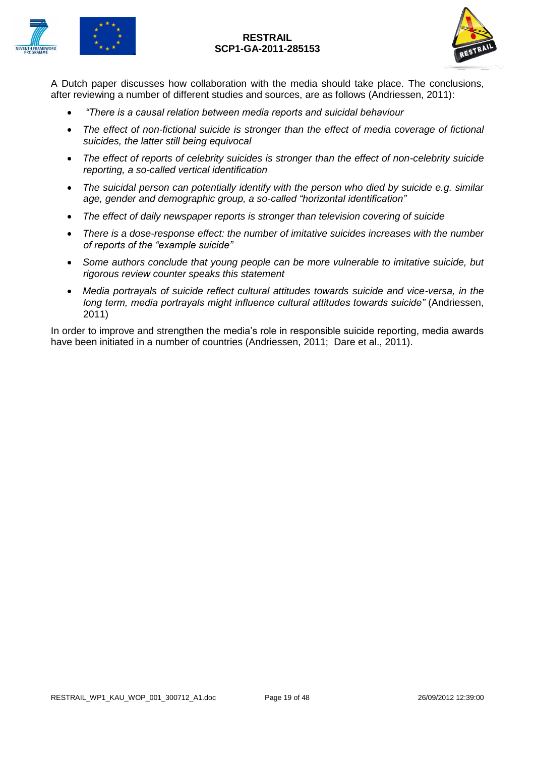



A Dutch paper discusses how collaboration with the media should take place. The conclusions, after reviewing a number of different studies and sources, are as follows (Andriessen, 2011):

- *"There is a causal relation between media reports and suicidal behaviour*
- *The effect of non-fictional suicide is stronger than the effect of media coverage of fictional suicides, the latter still being equivocal*
- *The effect of reports of celebrity suicides is stronger than the effect of non-celebrity suicide reporting, a so-called vertical identification*
- *The suicidal person can potentially identify with the person who died by suicide e.g. similar age, gender and demographic group, a so-called "horizontal identification"*
- *The effect of daily newspaper reports is stronger than television covering of suicide*
- *There is a dose-response effect: the number of imitative suicides increases with the number of reports of the "example suicide"*
- *Some authors conclude that young people can be more vulnerable to imitative suicide, but rigorous review counter speaks this statement*
- *Media portrayals of suicide reflect cultural attitudes towards suicide and vice-versa, in the long term, media portrayals might influence cultural attitudes towards suicide"* (Andriessen, 2011)

In order to improve and strengthen the media's role in responsible suicide reporting, media awards have been initiated in a number of countries (Andriessen, 2011; Dare et al., 2011).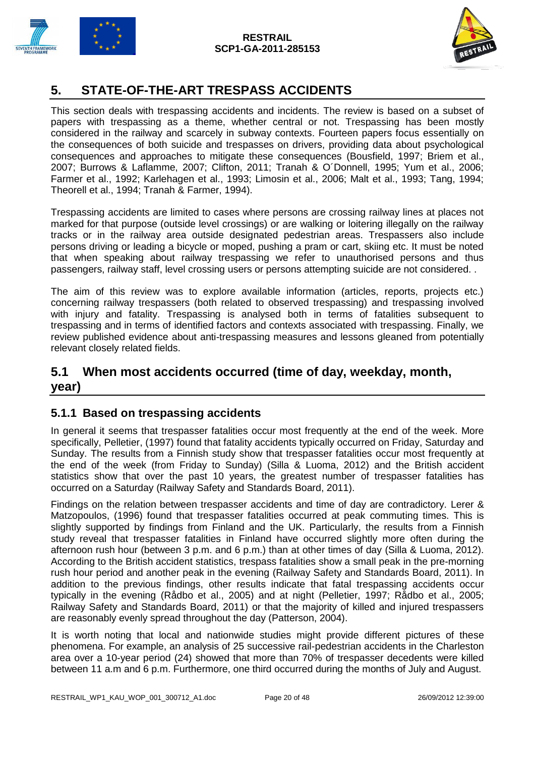

# <span id="page-19-0"></span>**5. STATE-OF-THE-ART TRESPASS ACCIDENTS**

This section deals with trespassing accidents and incidents. The review is based on a subset of papers with trespassing as a theme, whether central or not. Trespassing has been mostly considered in the railway and scarcely in subway contexts. Fourteen papers focus essentially on the consequences of both suicide and trespasses on drivers, providing data about psychological consequences and approaches to mitigate these consequences (Bousfield, 1997; Briem et al., 2007; Burrows & Laflamme, 2007; Clifton, 2011; Tranah & O´Donnell, 1995; Yum et al., 2006; Farmer et al., 1992; Karlehagen et al., 1993; Limosin et al., 2006; Malt et al., 1993; Tang, 1994; Theorell et al., 1994; Tranah & Farmer, 1994).

Trespassing accidents are limited to cases where persons are crossing railway lines at places not marked for that purpose (outside level crossings) or are walking or loitering illegally on the railway tracks or in the railway area outside designated pedestrian areas. Trespassers also include persons driving or leading a bicycle or moped, pushing a pram or cart, skiing etc. It must be noted that when speaking about railway trespassing we refer to unauthorised persons and thus passengers, railway staff, level crossing users or persons attempting suicide are not considered. .

The aim of this review was to explore available information (articles, reports, projects etc.) concerning railway trespassers (both related to observed trespassing) and trespassing involved with injury and fatality. Trespassing is analysed both in terms of fatalities subsequent to trespassing and in terms of identified factors and contexts associated with trespassing. Finally, we review published evidence about anti-trespassing measures and lessons gleaned from potentially relevant closely related fields.

### <span id="page-19-1"></span>**5.1 When most accidents occurred (time of day, weekday, month, year)**

### <span id="page-19-2"></span>**5.1.1 Based on trespassing accidents**

In general it seems that trespasser fatalities occur most frequently at the end of the week. More specifically, Pelletier, (1997) found that fatality accidents typically occurred on Friday, Saturday and Sunday. The results from a Finnish study show that trespasser fatalities occur most frequently at the end of the week (from Friday to Sunday) (Silla & Luoma, 2012) and the British accident statistics show that over the past 10 years, the greatest number of trespasser fatalities has occurred on a Saturday (Railway Safety and Standards Board, 2011).

Findings on the relation between trespasser accidents and time of day are contradictory. Lerer & Matzopoulos, (1996) found that trespasser fatalities occurred at peak commuting times. This is slightly supported by findings from Finland and the UK. Particularly, the results from a Finnish study reveal that trespasser fatalities in Finland have occurred slightly more often during the afternoon rush hour (between 3 p.m. and 6 p.m.) than at other times of day (Silla & Luoma, 2012). According to the British accident statistics, trespass fatalities show a small peak in the pre-morning rush hour period and another peak in the evening (Railway Safety and Standards Board, 2011). In addition to the previous findings, other results indicate that fatal trespassing accidents occur typically in the evening (Rådbo et al., 2005) and at night (Pelletier, 1997; Rådbo et al., 2005; Railway Safety and Standards Board, 2011) or that the majority of killed and injured trespassers are reasonably evenly spread throughout the day (Patterson, 2004).

It is worth noting that local and nationwide studies might provide different pictures of these phenomena. For example, an analysis of 25 successive rail-pedestrian accidents in the Charleston area over a 10-year period (24) showed that more than 70% of trespasser decedents were killed between 11 a.m and 6 p.m. Furthermore, one third occurred during the months of July and August.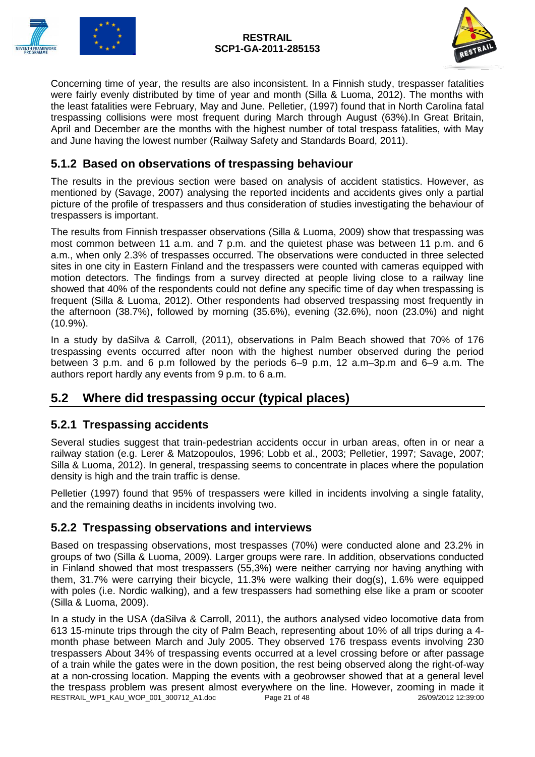



Concerning time of year, the results are also inconsistent. In a Finnish study, trespasser fatalities were fairly evenly distributed by time of year and month (Silla & Luoma, 2012). The months with the least fatalities were February, May and June. Pelletier, (1997) found that in North Carolina fatal trespassing collisions were most frequent during March through August (63%).In Great Britain, April and December are the months with the highest number of total trespass fatalities, with May and June having the lowest number (Railway Safety and Standards Board, 2011).

### <span id="page-20-0"></span>**5.1.2 Based on observations of trespassing behaviour**

The results in the previous section were based on analysis of accident statistics. However, as mentioned by (Savage, 2007) analysing the reported incidents and accidents gives only a partial picture of the profile of trespassers and thus consideration of studies investigating the behaviour of trespassers is important.

The results from Finnish trespasser observations (Silla & Luoma, 2009) show that trespassing was most common between 11 a.m. and 7 p.m. and the quietest phase was between 11 p.m. and 6 a.m., when only 2.3% of trespasses occurred. The observations were conducted in three selected sites in one city in Eastern Finland and the trespassers were counted with cameras equipped with motion detectors. The findings from a survey directed at people living close to a railway line showed that 40% of the respondents could not define any specific time of day when trespassing is frequent (Silla & Luoma, 2012). Other respondents had observed trespassing most frequently in the afternoon (38.7%), followed by morning (35.6%), evening (32.6%), noon (23.0%) and night (10.9%).

In a study by daSilva & Carroll, (2011), observations in Palm Beach showed that 70% of 176 trespassing events occurred after noon with the highest number observed during the period between 3 p.m. and 6 p.m followed by the periods 6–9 p.m, 12 a.m–3p.m and 6–9 a.m. The authors report hardly any events from 9 p.m. to 6 a.m.

## <span id="page-20-1"></span>**5.2 Where did trespassing occur (typical places)**

### <span id="page-20-2"></span>**5.2.1 Trespassing accidents**

Several studies suggest that train-pedestrian accidents occur in urban areas, often in or near a railway station (e.g. Lerer & Matzopoulos, 1996; Lobb et al., 2003; Pelletier, 1997; Savage, 2007; Silla & Luoma, 2012). In general, trespassing seems to concentrate in places where the population density is high and the train traffic is dense.

Pelletier (1997) found that 95% of trespassers were killed in incidents involving a single fatality, and the remaining deaths in incidents involving two.

#### <span id="page-20-3"></span>**5.2.2 Trespassing observations and interviews**

Based on trespassing observations, most trespasses (70%) were conducted alone and 23.2% in groups of two (Silla & Luoma, 2009). Larger groups were rare. In addition, observations conducted in Finland showed that most trespassers (55,3%) were neither carrying nor having anything with them, 31.7% were carrying their bicycle, 11.3% were walking their dog(s), 1.6% were equipped with poles (i.e. Nordic walking), and a few trespassers had something else like a pram or scooter (Silla & Luoma, 2009).

RESTRAIL\_WP1\_KAU\_WOP\_001\_300712\_A1.doc Page 21 of 48 26/09/2012 12:39:00 In a study in the USA (daSilva & Carroll, 2011), the authors analysed video locomotive data from 613 15-minute trips through the city of Palm Beach, representing about 10% of all trips during a 4 month phase between March and July 2005. They observed 176 trespass events involving 230 trespassers About 34% of trespassing events occurred at a level crossing before or after passage of a train while the gates were in the down position, the rest being observed along the right-of-way at a non-crossing location. Mapping the events with a geobrowser showed that at a general level the trespass problem was present almost everywhere on the line. However, zooming in made it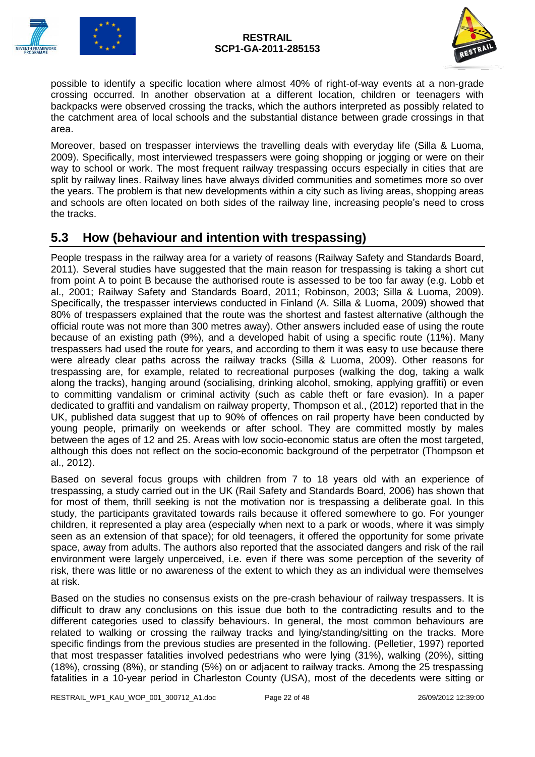



possible to identify a specific location where almost 40% of right-of-way events at a non-grade crossing occurred. In another observation at a different location, children or teenagers with backpacks were observed crossing the tracks, which the authors interpreted as possibly related to the catchment area of local schools and the substantial distance between grade crossings in that area.

Moreover, based on trespasser interviews the travelling deals with everyday life (Silla & Luoma, 2009). Specifically, most interviewed trespassers were going shopping or jogging or were on their way to school or work. The most frequent railway trespassing occurs especially in cities that are split by railway lines. Railway lines have always divided communities and sometimes more so over the years. The problem is that new developments within a city such as living areas, shopping areas and schools are often located on both sides of the railway line, increasing people's need to cross the tracks.

### <span id="page-21-0"></span>**5.3 How (behaviour and intention with trespassing)**

People trespass in the railway area for a variety of reasons (Railway Safety and Standards Board, 2011). Several studies have suggested that the main reason for trespassing is taking a short cut from point A to point B because the authorised route is assessed to be too far away (e.g. Lobb et al., 2001; Railway Safety and Standards Board, 2011; Robinson, 2003; Silla & Luoma, 2009). Specifically, the trespasser interviews conducted in Finland (A. Silla & Luoma, 2009) showed that 80% of trespassers explained that the route was the shortest and fastest alternative (although the official route was not more than 300 metres away). Other answers included ease of using the route because of an existing path (9%), and a developed habit of using a specific route (11%). Many trespassers had used the route for years, and according to them it was easy to use because there were already clear paths across the railway tracks (Silla & Luoma, 2009). Other reasons for trespassing are, for example, related to recreational purposes (walking the dog, taking a walk along the tracks), hanging around (socialising, drinking alcohol, smoking, applying graffiti) or even to committing vandalism or criminal activity (such as cable theft or fare evasion). In a paper dedicated to graffiti and vandalism on railway property, Thompson et al., (2012) reported that in the UK, published data suggest that up to 90% of offences on rail property have been conducted by young people, primarily on weekends or after school. They are committed mostly by males between the ages of 12 and 25. Areas with low socio-economic status are often the most targeted, although this does not reflect on the socio-economic background of the perpetrator (Thompson et al., 2012).

Based on several focus groups with children from 7 to 18 years old with an experience of trespassing, a study carried out in the UK (Rail Safety and Standards Board, 2006) has shown that for most of them, thrill seeking is not the motivation nor is trespassing a deliberate goal. In this study, the participants gravitated towards rails because it offered somewhere to go. For younger children, it represented a play area (especially when next to a park or woods, where it was simply seen as an extension of that space); for old teenagers, it offered the opportunity for some private space, away from adults. The authors also reported that the associated dangers and risk of the rail environment were largely unperceived, i.e. even if there was some perception of the severity of risk, there was little or no awareness of the extent to which they as an individual were themselves at risk.

Based on the studies no consensus exists on the pre-crash behaviour of railway trespassers. It is difficult to draw any conclusions on this issue due both to the contradicting results and to the different categories used to classify behaviours. In general, the most common behaviours are related to walking or crossing the railway tracks and lying/standing/sitting on the tracks. More specific findings from the previous studies are presented in the following. (Pelletier, 1997) reported that most trespasser fatalities involved pedestrians who were lying (31%), walking (20%), sitting (18%), crossing (8%), or standing (5%) on or adjacent to railway tracks. Among the 25 trespassing fatalities in a 10-year period in Charleston County (USA), most of the decedents were sitting or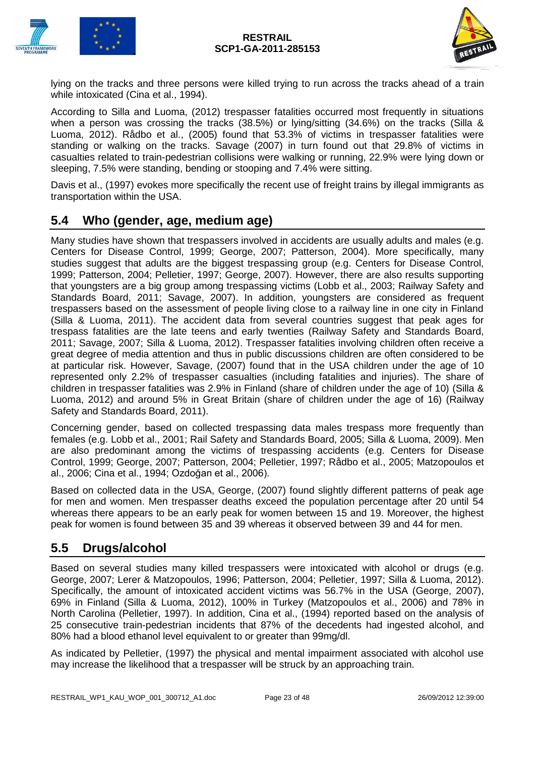



lying on the tracks and three persons were killed trying to run across the tracks ahead of a train while intoxicated (Cina et al., 1994).

According to Silla and Luoma, (2012) trespasser fatalities occurred most frequently in situations when a person was crossing the tracks (38.5%) or lying/sitting (34.6%) on the tracks (Silla & Luoma, 2012). Rådbo et al., (2005) found that 53.3% of victims in trespasser fatalities were standing or walking on the tracks. Savage (2007) in turn found out that 29.8% of victims in casualties related to train-pedestrian collisions were walking or running, 22.9% were lying down or sleeping, 7.5% were standing, bending or stooping and 7.4% were sitting.

Davis et al., (1997) evokes more specifically the recent use of freight trains by illegal immigrants as transportation within the USA.

### <span id="page-22-0"></span>**5.4 Who (gender, age, medium age)**

Many studies have shown that trespassers involved in accidents are usually adults and males (e.g. Centers for Disease Control, 1999; George, 2007; Patterson, 2004). More specifically, many studies suggest that adults are the biggest trespassing group (e.g. Centers for Disease Control, 1999; Patterson, 2004; Pelletier, 1997; George, 2007). However, there are also results supporting that youngsters are a big group among trespassing victims (Lobb et al., 2003; Railway Safety and Standards Board, 2011; Savage, 2007). In addition, youngsters are considered as frequent trespassers based on the assessment of people living close to a railway line in one city in Finland (Silla & Luoma, 2011). The accident data from several countries suggest that peak ages for trespass fatalities are the late teens and early twenties (Railway Safety and Standards Board, 2011; Savage, 2007; Silla & Luoma, 2012). Trespasser fatalities involving children often receive a great degree of media attention and thus in public discussions children are often considered to be at particular risk. However, Savage, (2007) found that in the USA children under the age of 10 represented only 2.2% of trespasser casualties (including fatalities and injuries). The share of children in trespasser fatalities was 2.9% in Finland (share of children under the age of 10) (Silla & Luoma, 2012) and around 5% in Great Britain (share of children under the age of 16) (Railway Safety and Standards Board, 2011).

Concerning gender, based on collected trespassing data males trespass more frequently than females (e.g. Lobb et al., 2001; Rail Safety and Standards Board, 2005; Silla & Luoma, 2009). Men are also predominant among the victims of trespassing accidents (e.g. Centers for Disease Control, 1999; George, 2007; Patterson, 2004; Pelletier, 1997; Rådbo et al., 2005; Matzopoulos et al., 2006; Cina et al., 1994; Ozdoğan et al., 2006).

Based on collected data in the USA, George, (2007) found slightly different patterns of peak age for men and women. Men trespasser deaths exceed the population percentage after 20 until 54 whereas there appears to be an early peak for women between 15 and 19. Moreover, the highest peak for women is found between 35 and 39 whereas it observed between 39 and 44 for men.

### <span id="page-22-1"></span>**5.5 Drugs/alcohol**

Based on several studies many killed trespassers were intoxicated with alcohol or drugs (e.g. George, 2007; Lerer & Matzopoulos, 1996; Patterson, 2004; Pelletier, 1997; Silla & Luoma, 2012). Specifically, the amount of intoxicated accident victims was 56.7% in the USA (George, 2007), 69% in Finland (Silla & Luoma, 2012), 100% in Turkey (Matzopoulos et al., 2006) and 78% in North Carolina (Pelletier, 1997). In addition, Cina et al., (1994) reported based on the analysis of 25 consecutive train-pedestrian incidents that 87% of the decedents had ingested alcohol, and 80% had a blood ethanol level equivalent to or greater than 99mg/dl.

As indicated by Pelletier, (1997) the physical and mental impairment associated with alcohol use may increase the likelihood that a trespasser will be struck by an approaching train.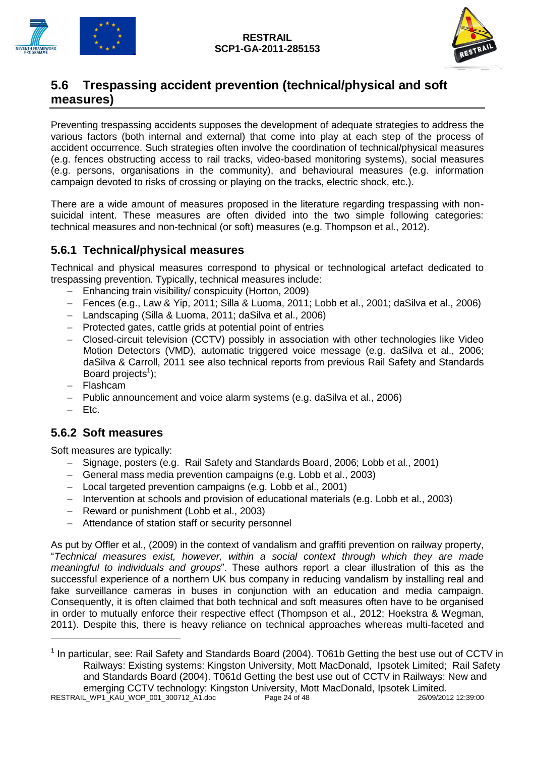

### <span id="page-23-0"></span>**5.6 Trespassing accident prevention (technical/physical and soft measures)**

Preventing trespassing accidents supposes the development of adequate strategies to address the various factors (both internal and external) that come into play at each step of the process of accident occurrence. Such strategies often involve the coordination of technical/physical measures (e.g. fences obstructing access to rail tracks, video-based monitoring systems), social measures (e.g. persons, organisations in the community), and behavioural measures (e.g. information campaign devoted to risks of crossing or playing on the tracks, electric shock, etc.).

There are a wide amount of measures proposed in the literature regarding trespassing with nonsuicidal intent. These measures are often divided into the two simple following categories: technical measures and non-technical (or soft) measures (e.g. Thompson et al., 2012).

### <span id="page-23-1"></span>**5.6.1 Technical/physical measures**

Technical and physical measures correspond to physical or technological artefact dedicated to trespassing prevention. Typically, technical measures include:

- Enhancing train visibility/ conspicuity (Horton, 2009)
- Fences (e.g., Law & Yip, 2011; Silla & Luoma, 2011; Lobb et al., 2001; daSilva et al., 2006)
- Landscaping (Silla & Luoma, 2011; daSilva et al., 2006)
- Protected gates, cattle grids at potential point of entries
- Closed-circuit television (CCTV) possibly in association with other technologies like Video Motion Detectors (VMD), automatic triggered voice message (e.g. daSilva et al., 2006; daSilva & Carroll, 2011 see also technical reports from previous Rail Safety and Standards Board projects<sup>1</sup>);
- Flashcam
- Public announcement and voice alarm systems (e.g. daSilva et al., 2006)
- $-$  Ftc.

-

#### <span id="page-23-2"></span>**5.6.2 Soft measures**

Soft measures are typically:

- Signage, posters (e.g. Rail Safety and Standards Board, 2006; Lobb et al., 2001)
- General mass media prevention campaigns (e.g. Lobb et al., 2003)
- Local targeted prevention campaigns (e.g. Lobb et al., 2001)
- Intervention at schools and provision of educational materials (e.g. Lobb et al., 2003)
- Reward or punishment (Lobb et al., 2003)
- Attendance of station staff or security personnel

As put by Offler et al., (2009) in the context of vandalism and graffiti prevention on railway property, "*Technical measures exist, however, within a social context through which they are made meaningful to individuals and groups*". These authors report a clear illustration of this as the successful experience of a northern UK bus company in reducing vandalism by installing real and fake surveillance cameras in buses in conjunction with an education and media campaign. Consequently, it is often claimed that both technical and soft measures often have to be organised in order to mutually enforce their respective effect (Thompson et al., 2012; Hoekstra & Wegman, 2011). Despite this, there is heavy reliance on technical approaches whereas multi-faceted and

RESTRAIL\_WP1\_KAU\_WOP\_001\_300712\_A1.doc Page 24 of 48 26/09/2012 12:39:00 <sup>1</sup> In particular, see: Rail Safety and Standards Board (2004). T061b Getting the best use out of CCTV in Railways: Existing systems: Kingston University, Mott MacDonald, Ipsotek Limited; Rail Safety and Standards Board (2004). T061d Getting the best use out of CCTV in Railways: New and emerging CCTV technology: Kingston University, Mott MacDonald, Ipsotek Limited.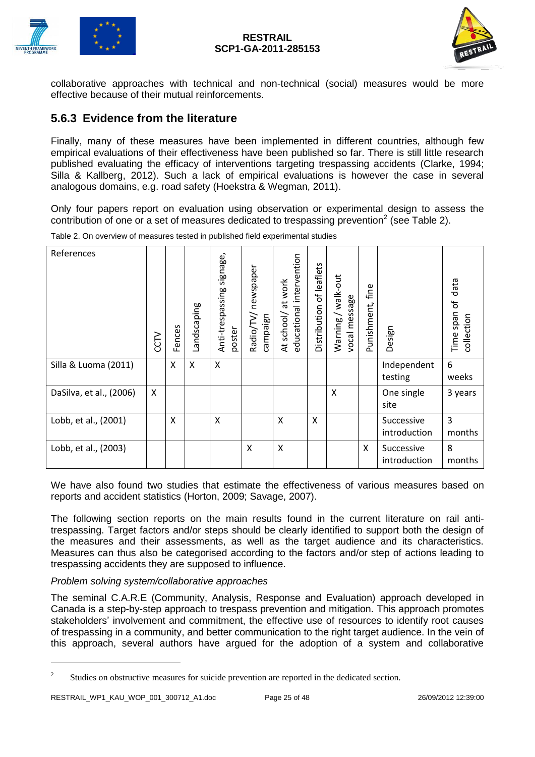



collaborative approaches with technical and non-technical (social) measures would be more effective because of their mutual reinforcements.

#### <span id="page-24-0"></span>**5.6.3 Evidence from the literature**

Finally, many of these measures have been implemented in different countries, although few empirical evaluations of their effectiveness have been published so far. There is still little research published evaluating the efficacy of interventions targeting trespassing accidents (Clarke, 1994; Silla & Kallberg, 2012). Such a lack of empirical evaluations is however the case in several analogous domains, e.g. road safety (Hoekstra & Wegman, 2011).

Only four papers report on evaluation using observation or experimental design to assess the contribution of one or a set of measures dedicated to trespassing prevention<sup>2</sup> (see Table 2).

| References              | <b>CCL</b> | Fences | Landscaping | Anti-trespassing signage,<br>poster | newspaper<br>Radio/TV/<br>campaign | educational intervention<br>at work<br>school/<br>$\overline{A}$ | Distribution of leaflets | walk-out<br>vocal message<br>Warning/ | fine<br>Punishment, | Design                     | data<br>Ⴆ<br>Time span<br>collection |
|-------------------------|------------|--------|-------------|-------------------------------------|------------------------------------|------------------------------------------------------------------|--------------------------|---------------------------------------|---------------------|----------------------------|--------------------------------------|
| Silla & Luoma (2011)    |            | X      | X           | X                                   |                                    |                                                                  |                          |                                       |                     | Independent<br>testing     | 6<br>weeks                           |
| DaSilva, et al., (2006) | X          |        |             |                                     |                                    |                                                                  |                          | X                                     |                     | One single<br>site         | 3 years                              |
| Lobb, et al., (2001)    |            | X      |             | X                                   |                                    | X                                                                | X                        |                                       |                     | Successive<br>introduction | $\overline{3}$<br>months             |
| Lobb, et al., (2003)    |            |        |             |                                     | X                                  | X                                                                |                          |                                       | X                   | Successive<br>introduction | 8<br>months                          |

Table 2. On overview of measures tested in published field experimental studies

We have also found two studies that estimate the effectiveness of various measures based on reports and accident statistics (Horton, 2009; Savage, 2007).

The following section reports on the main results found in the current literature on rail antitrespassing. Target factors and/or steps should be clearly identified to support both the design of the measures and their assessments, as well as the target audience and its characteristics. Measures can thus also be categorised according to the factors and/or step of actions leading to trespassing accidents they are supposed to influence.

#### *Problem solving system/collaborative approaches*

The seminal C.A.R.E (Community, Analysis, Response and Evaluation) approach developed in Canada is a step-by-step approach to trespass prevention and mitigation. This approach promotes stakeholders' involvement and commitment, the effective use of resources to identify root causes of trespassing in a community, and better communication to the right target audience. In the vein of this approach, several authors have argued for the adoption of a system and collaborative

-

<sup>2</sup> Studies on obstructive measures for suicide prevention are reported in the dedicated section.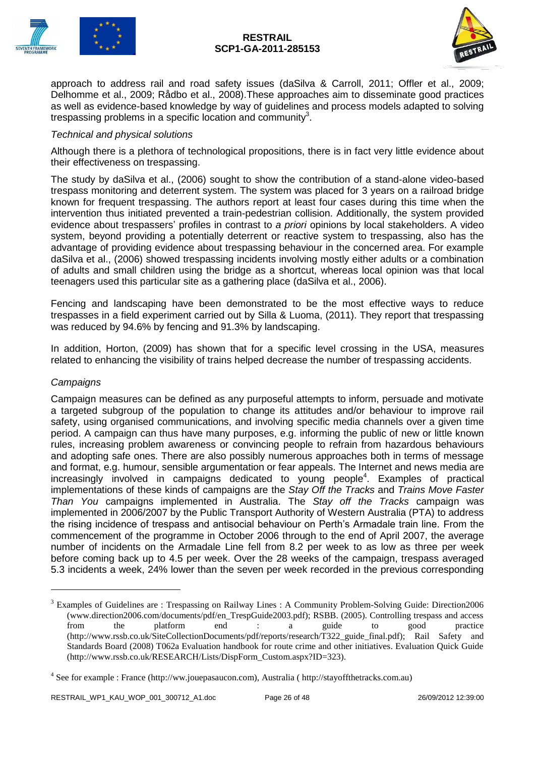



approach to address rail and road safety issues (daSilva & Carroll, 2011; Offler et al., 2009; Delhomme et al., 2009; Rådbo et al., 2008).These approaches aim to disseminate good practices as well as evidence-based knowledge by way of guidelines and process models adapted to solving trespassing problems in a specific location and community<sup>3</sup>.

#### *Technical and physical solutions*

Although there is a plethora of technological propositions, there is in fact very little evidence about their effectiveness on trespassing.

The study by daSilva et al., (2006) sought to show the contribution of a stand-alone video-based trespass monitoring and deterrent system. The system was placed for 3 years on a railroad bridge known for frequent trespassing. The authors report at least four cases during this time when the intervention thus initiated prevented a train-pedestrian collision. Additionally, the system provided evidence about trespassers' profiles in contrast to *a priori* opinions by local stakeholders. A video system, beyond providing a potentially deterrent or reactive system to trespassing, also has the advantage of providing evidence about trespassing behaviour in the concerned area. For example daSilva et al., (2006) showed trespassing incidents involving mostly either adults or a combination of adults and small children using the bridge as a shortcut, whereas local opinion was that local teenagers used this particular site as a gathering place (daSilva et al., 2006).

Fencing and landscaping have been demonstrated to be the most effective ways to reduce trespasses in a field experiment carried out by Silla & Luoma, (2011). They report that trespassing was reduced by 94.6% by fencing and 91.3% by landscaping.

In addition, Horton, (2009) has shown that for a specific level crossing in the USA, measures related to enhancing the visibility of trains helped decrease the number of trespassing accidents.

#### *Campaigns*

-

Campaign measures can be defined as any purposeful attempts to inform, persuade and motivate a targeted subgroup of the population to change its attitudes and/or behaviour to improve rail safety, using organised communications, and involving specific media channels over a given time period. A campaign can thus have many purposes, e.g. informing the public of new or little known rules, increasing problem awareness or convincing people to refrain from hazardous behaviours and adopting safe ones. There are also possibly numerous approaches both in terms of message and format, e.g. humour, sensible argumentation or fear appeals. The Internet and news media are increasingly involved in campaigns dedicated to young people<sup>4</sup>. Examples of practical implementations of these kinds of campaigns are the *Stay Off the Tracks* and *Trains Move Faster Than You* campaigns implemented in Australia. The *Stay off the Tracks* campaign was implemented in 2006/2007 by the Public Transport Authority of Western Australia (PTA) to address the rising incidence of trespass and antisocial behaviour on Perth's Armadale train line. From the commencement of the programme in October 2006 through to the end of April 2007, the average number of incidents on the Armadale Line fell from 8.2 per week to as low as three per week before coming back up to 4.5 per week. Over the 28 weeks of the campaign, trespass averaged 5.3 incidents a week, 24% lower than the seven per week recorded in the previous corresponding

<sup>&</sup>lt;sup>3</sup> Examples of Guidelines are : Trespassing on Railway Lines : A Community Problem-Solving Guide: Direction2006 (www.direction2006.com/documents/pdf/en\_TrespGuide2003.pdf); RSBB. (2005). Controlling trespass and access from the platform end : a guide to good practice (http://www.rssb.co.uk/SiteCollectionDocuments/pdf/reports/research/T322\_guide\_final.pdf); Rail Safety and Standards Board (2008) T062a Evaluation handbook for route crime and other initiatives. Evaluation Quick Guide (http://www.rssb.co.uk/RESEARCH/Lists/DispForm\_Custom.aspx?ID=323).

<sup>&</sup>lt;sup>4</sup> See for example : France (http://ww.jouepasaucon.com), Australia ( http://stayoffthetracks.com.au)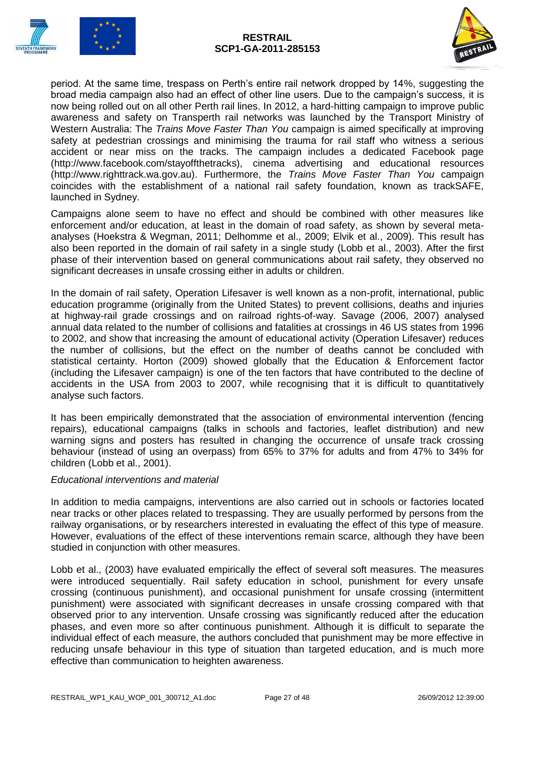



period. At the same time, trespass on Perth's entire rail network dropped by 14%, suggesting the broad media campaign also had an effect of other line users. Due to the campaign's success, it is now being rolled out on all other Perth rail lines. In 2012, a hard-hitting campaign to improve public awareness and safety on Transperth rail networks was launched by the Transport Ministry of Western Australia: The *Trains Move Faster Than You* campaign is aimed specifically at improving safety at pedestrian crossings and minimising the trauma for rail staff who witness a serious accident or near miss on the tracks. The campaign includes a dedicated Facebook page (http://www.facebook.com/stayoffthetracks), cinema advertising and educational resources (http://www.righttrack.wa.gov.au). Furthermore, the *Trains Move Faster Than You* campaign coincides with the establishment of a national rail safety foundation, known as trackSAFE, launched in Sydney.

Campaigns alone seem to have no effect and should be combined with other measures like enforcement and/or education, at least in the domain of road safety, as shown by several metaanalyses (Hoekstra & Wegman, 2011; Delhomme et al., 2009; Elvik et al., 2009). This result has also been reported in the domain of rail safety in a single study (Lobb et al., 2003). After the first phase of their intervention based on general communications about rail safety, they observed no significant decreases in unsafe crossing either in adults or children.

In the domain of rail safety, Operation Lifesaver is well known as a non-profit, international, public education programme (originally from the United States) to prevent collisions, deaths and injuries at highway-rail grade crossings and on railroad rights-of-way. Savage (2006, 2007) analysed annual data related to the number of collisions and fatalities at crossings in 46 US states from 1996 to 2002, and show that increasing the amount of educational activity (Operation Lifesaver) reduces the number of collisions, but the effect on the number of deaths cannot be concluded with statistical certainty. Horton (2009) showed globally that the Education & Enforcement factor (including the Lifesaver campaign) is one of the ten factors that have contributed to the decline of accidents in the USA from 2003 to 2007, while recognising that it is difficult to quantitatively analyse such factors.

It has been empirically demonstrated that the association of environmental intervention (fencing repairs), educational campaigns (talks in schools and factories, leaflet distribution) and new warning signs and posters has resulted in changing the occurrence of unsafe track crossing behaviour (instead of using an overpass) from 65% to 37% for adults and from 47% to 34% for children (Lobb et al., 2001).

#### *Educational interventions and material*

In addition to media campaigns, interventions are also carried out in schools or factories located near tracks or other places related to trespassing. They are usually performed by persons from the railway organisations, or by researchers interested in evaluating the effect of this type of measure. However, evaluations of the effect of these interventions remain scarce, although they have been studied in conjunction with other measures.

Lobb et al., (2003) have evaluated empirically the effect of several soft measures. The measures were introduced sequentially. Rail safety education in school, punishment for every unsafe crossing (continuous punishment), and occasional punishment for unsafe crossing (intermittent punishment) were associated with significant decreases in unsafe crossing compared with that observed prior to any intervention. Unsafe crossing was significantly reduced after the education phases, and even more so after continuous punishment. Although it is difficult to separate the individual effect of each measure, the authors concluded that punishment may be more effective in reducing unsafe behaviour in this type of situation than targeted education, and is much more effective than communication to heighten awareness.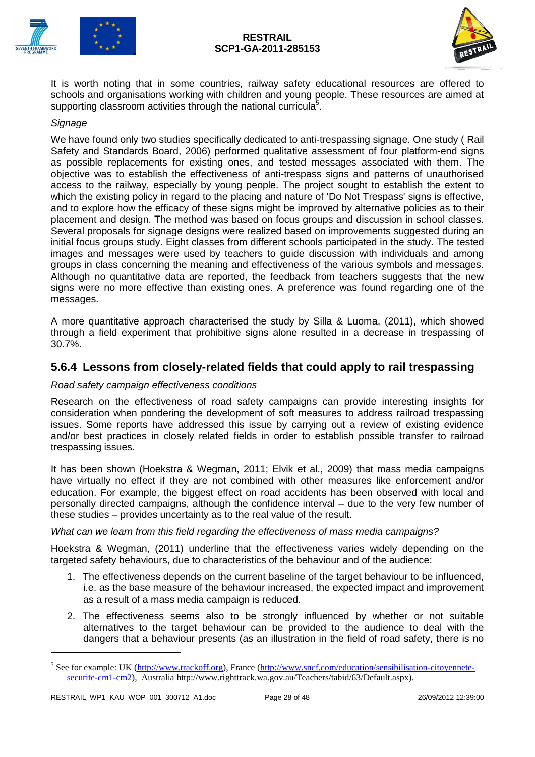



It is worth noting that in some countries, railway safety educational resources are offered to schools and organisations working with children and young people. These resources are aimed at supporting classroom activities through the national curricula $5$ .

#### *Signage*

We have found only two studies specifically dedicated to anti-trespassing signage. One study ( Rail Safety and Standards Board, 2006) performed qualitative assessment of four platform-end signs as possible replacements for existing ones, and tested messages associated with them. The objective was to establish the effectiveness of anti-trespass signs and patterns of unauthorised access to the railway, especially by young people. The project sought to establish the extent to which the existing policy in regard to the placing and nature of 'Do Not Trespass' signs is effective, and to explore how the efficacy of these signs might be improved by alternative policies as to their placement and design. The method was based on focus groups and discussion in school classes. Several proposals for signage designs were realized based on improvements suggested during an initial focus groups study. Eight classes from different schools participated in the study. The tested images and messages were used by teachers to guide discussion with individuals and among groups in class concerning the meaning and effectiveness of the various symbols and messages. Although no quantitative data are reported, the feedback from teachers suggests that the new signs were no more effective than existing ones. A preference was found regarding one of the messages.

A more quantitative approach characterised the study by Silla & Luoma, (2011), which showed through a field experiment that prohibitive signs alone resulted in a decrease in trespassing of 30.7%.

#### <span id="page-27-0"></span>**5.6.4 Lessons from closely-related fields that could apply to rail trespassing**

#### *Road safety campaign effectiveness conditions*

Research on the effectiveness of road safety campaigns can provide interesting insights for consideration when pondering the development of soft measures to address railroad trespassing issues. Some reports have addressed this issue by carrying out a review of existing evidence and/or best practices in closely related fields in order to establish possible transfer to railroad trespassing issues.

It has been shown (Hoekstra & Wegman, 2011; Elvik et al., 2009) that mass media campaigns have virtually no effect if they are not combined with other measures like enforcement and/or education. For example, the biggest effect on road accidents has been observed with local and personally directed campaigns, although the confidence interval – due to the very few number of these studies – provides uncertainty as to the real value of the result.

#### *What can we learn from this field regarding the effectiveness of mass media campaigns?*

Hoekstra & Wegman, (2011) underline that the effectiveness varies widely depending on the targeted safety behaviours, due to characteristics of the behaviour and of the audience:

- 1. The effectiveness depends on the current baseline of the target behaviour to be influenced, i.e. as the base measure of the behaviour increased, the expected impact and improvement as a result of a mass media campaign is reduced.
- 2. The effectiveness seems also to be strongly influenced by whether or not suitable alternatives to the target behaviour can be provided to the audience to deal with the dangers that a behaviour presents (as an illustration in the field of road safety, there is no

-

<sup>&</sup>lt;sup>5</sup> See for example: UK [\(http://www.trackoff.org\)](http://www.trackoff.org/), France [\(http://www.sncf.com/education/sensibilisation-citoyennete](http://www.sncf.com/education/sensibilisation-citoyennete-securite-cm1-cm2)[securite-cm1-cm2\)](http://www.sncf.com/education/sensibilisation-citoyennete-securite-cm1-cm2), Australia http://www.righttrack.wa.gov.au/Teachers/tabid/63/Default.aspx).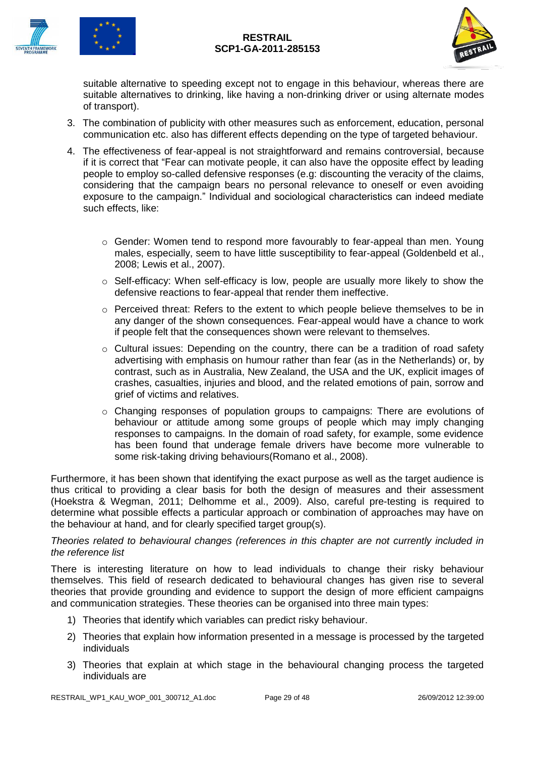



suitable alternative to speeding except not to engage in this behaviour, whereas there are suitable alternatives to drinking, like having a non-drinking driver or using alternate modes of transport).

- 3. The combination of publicity with other measures such as enforcement, education, personal communication etc. also has different effects depending on the type of targeted behaviour.
- 4. The effectiveness of fear-appeal is not straightforward and remains controversial, because if it is correct that "Fear can motivate people, it can also have the opposite effect by leading people to employ so-called defensive responses (e.g: discounting the veracity of the claims, considering that the campaign bears no personal relevance to oneself or even avoiding exposure to the campaign." Individual and sociological characteristics can indeed mediate such effects, like:
	- o Gender: Women tend to respond more favourably to fear-appeal than men. Young males, especially, seem to have little susceptibility to fear-appeal (Goldenbeld et al., 2008; Lewis et al., 2007).
	- $\circ$  Self-efficacy: When self-efficacy is low, people are usually more likely to show the defensive reactions to fear-appeal that render them ineffective.
	- o Perceived threat: Refers to the extent to which people believe themselves to be in any danger of the shown consequences. Fear-appeal would have a chance to work if people felt that the consequences shown were relevant to themselves.
	- o Cultural issues: Depending on the country, there can be a tradition of road safety advertising with emphasis on humour rather than fear (as in the Netherlands) or, by contrast, such as in Australia, New Zealand, the USA and the UK, explicit images of crashes, casualties, injuries and blood, and the related emotions of pain, sorrow and grief of victims and relatives.
	- $\circ$  Changing responses of population groups to campaigns: There are evolutions of behaviour or attitude among some groups of people which may imply changing responses to campaigns. In the domain of road safety, for example, some evidence has been found that underage female drivers have become more vulnerable to some risk-taking driving behaviours(Romano et al., 2008).

Furthermore, it has been shown that identifying the exact purpose as well as the target audience is thus critical to providing a clear basis for both the design of measures and their assessment (Hoekstra & Wegman, 2011; Delhomme et al., 2009). Also, careful pre-testing is required to determine what possible effects a particular approach or combination of approaches may have on the behaviour at hand, and for clearly specified target group(s).

#### *Theories related to behavioural changes (references in this chapter are not currently included in the reference list*

There is interesting literature on how to lead individuals to change their risky behaviour themselves. This field of research dedicated to behavioural changes has given rise to several theories that provide grounding and evidence to support the design of more efficient campaigns and communication strategies. These theories can be organised into three main types:

- 1) Theories that identify which variables can predict risky behaviour.
- 2) Theories that explain how information presented in a message is processed by the targeted individuals
- 3) Theories that explain at which stage in the behavioural changing process the targeted individuals are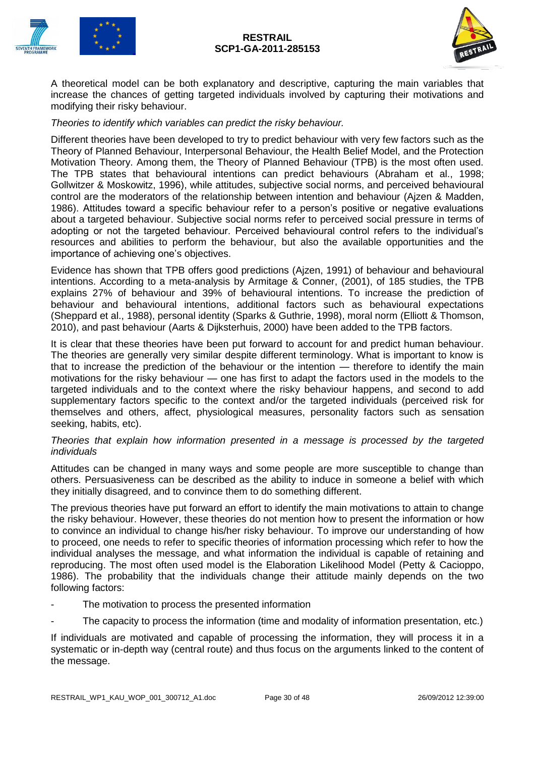



A theoretical model can be both explanatory and descriptive, capturing the main variables that increase the chances of getting targeted individuals involved by capturing their motivations and modifying their risky behaviour.

#### *Theories to identify which variables can predict the risky behaviour.*

Different theories have been developed to try to predict behaviour with very few factors such as the Theory of Planned Behaviour, Interpersonal Behaviour, the Health Belief Model, and the Protection Motivation Theory. Among them, the Theory of Planned Behaviour (TPB) is the most often used. The TPB states that behavioural intentions can predict behaviours (Abraham et al., 1998; Gollwitzer & Moskowitz, 1996), while attitudes, subjective social norms, and perceived behavioural control are the moderators of the relationship between intention and behaviour (Ajzen & Madden, 1986). Attitudes toward a specific behaviour refer to a person's positive or negative evaluations about a targeted behaviour. Subjective social norms refer to perceived social pressure in terms of adopting or not the targeted behaviour. Perceived behavioural control refers to the individual's resources and abilities to perform the behaviour, but also the available opportunities and the importance of achieving one's objectives.

Evidence has shown that TPB offers good predictions (Ajzen, 1991) of behaviour and behavioural intentions. According to a meta-analysis by Armitage & Conner, (2001), of 185 studies, the TPB explains 27% of behaviour and 39% of behavioural intentions. To increase the prediction of behaviour and behavioural intentions, additional factors such as behavioural expectations (Sheppard et al., 1988), personal identity (Sparks & Guthrie, 1998), moral norm (Elliott & Thomson, 2010), and past behaviour (Aarts & Dijksterhuis, 2000) have been added to the TPB factors.

It is clear that these theories have been put forward to account for and predict human behaviour. The theories are generally very similar despite different terminology. What is important to know is that to increase the prediction of the behaviour or the intention — therefore to identify the main motivations for the risky behaviour — one has first to adapt the factors used in the models to the targeted individuals and to the context where the risky behaviour happens, and second to add supplementary factors specific to the context and/or the targeted individuals (perceived risk for themselves and others, affect, physiological measures, personality factors such as sensation seeking, habits, etc).

#### *Theories that explain how information presented in a message is processed by the targeted individuals*

Attitudes can be changed in many ways and some people are more susceptible to change than others. Persuasiveness can be described as the ability to induce in someone a belief with which they initially disagreed, and to convince them to do something different.

The previous theories have put forward an effort to identify the main motivations to attain to change the risky behaviour. However, these theories do not mention how to present the information or how to convince an individual to change his/her risky behaviour. To improve our understanding of how to proceed, one needs to refer to specific theories of information processing which refer to how the individual analyses the message, and what information the individual is capable of retaining and reproducing. The most often used model is the Elaboration Likelihood Model (Petty & Cacioppo, 1986). The probability that the individuals change their attitude mainly depends on the two following factors:

- The motivation to process the presented information
- The capacity to process the information (time and modality of information presentation, etc.)

If individuals are motivated and capable of processing the information, they will process it in a systematic or in-depth way (central route) and thus focus on the arguments linked to the content of the message.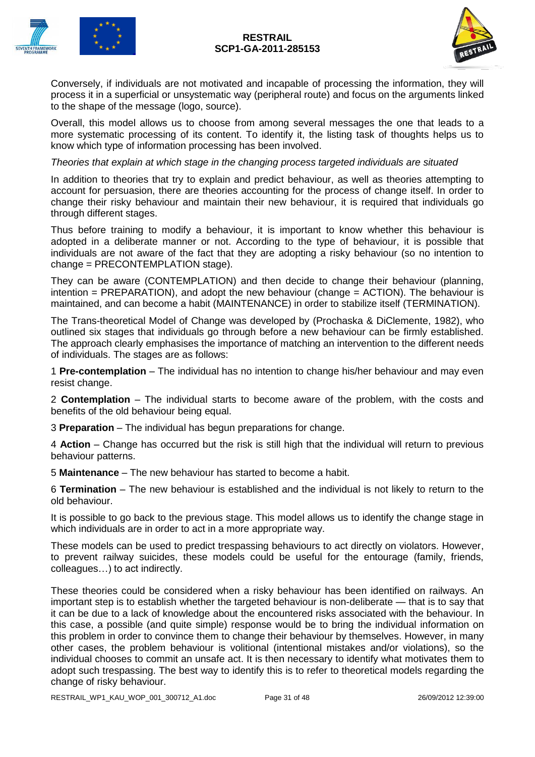

Conversely, if individuals are not motivated and incapable of processing the information, they will process it in a superficial or unsystematic way (peripheral route) and focus on the arguments linked to the shape of the message (logo, source).

Overall, this model allows us to choose from among several messages the one that leads to a more systematic processing of its content. To identify it, the listing task of thoughts helps us to know which type of information processing has been involved.

*Theories that explain at which stage in the changing process targeted individuals are situated*

In addition to theories that try to explain and predict behaviour, as well as theories attempting to account for persuasion, there are theories accounting for the process of change itself. In order to change their risky behaviour and maintain their new behaviour, it is required that individuals go through different stages.

Thus before training to modify a behaviour, it is important to know whether this behaviour is adopted in a deliberate manner or not. According to the type of behaviour, it is possible that individuals are not aware of the fact that they are adopting a risky behaviour (so no intention to change = PRECONTEMPLATION stage).

They can be aware (CONTEMPLATION) and then decide to change their behaviour (planning, intention = PREPARATION), and adopt the new behaviour (change = ACTION). The behaviour is maintained, and can become a habit (MAINTENANCE) in order to stabilize itself (TERMINATION).

The Trans-theoretical Model of Change was developed by (Prochaska & DiClemente, 1982), who outlined six stages that individuals go through before a new behaviour can be firmly established. The approach clearly emphasises the importance of matching an intervention to the different needs of individuals. The stages are as follows:

1 **Pre-contemplation** – The individual has no intention to change his/her behaviour and may even resist change.

2 **Contemplation** – The individual starts to become aware of the problem, with the costs and benefits of the old behaviour being equal.

3 **Preparation** – The individual has begun preparations for change.

4 **Action** – Change has occurred but the risk is still high that the individual will return to previous behaviour patterns.

5 **Maintenance** – The new behaviour has started to become a habit.

6 **Termination** – The new behaviour is established and the individual is not likely to return to the old behaviour.

It is possible to go back to the previous stage. This model allows us to identify the change stage in which individuals are in order to act in a more appropriate way.

These models can be used to predict trespassing behaviours to act directly on violators. However, to prevent railway suicides, these models could be useful for the entourage (family, friends, colleagues…) to act indirectly.

These theories could be considered when a risky behaviour has been identified on railways. An important step is to establish whether the targeted behaviour is non-deliberate — that is to say that it can be due to a lack of knowledge about the encountered risks associated with the behaviour. In this case, a possible (and quite simple) response would be to bring the individual information on this problem in order to convince them to change their behaviour by themselves. However, in many other cases, the problem behaviour is volitional (intentional mistakes and/or violations), so the individual chooses to commit an unsafe act. It is then necessary to identify what motivates them to adopt such trespassing. The best way to identify this is to refer to theoretical models regarding the change of risky behaviour.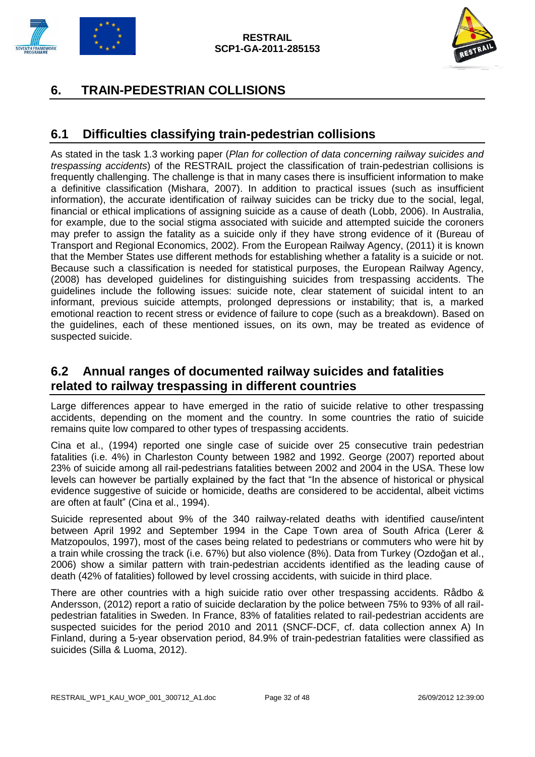



# <span id="page-31-0"></span>**6. TRAIN-PEDESTRIAN COLLISIONS**

### <span id="page-31-1"></span>**6.1 Difficulties classifying train-pedestrian collisions**

As stated in the task 1.3 working paper (*Plan for collection of data concerning railway suicides and trespassing accidents*) of the RESTRAIL project the classification of train-pedestrian collisions is frequently challenging. The challenge is that in many cases there is insufficient information to make a definitive classification (Mishara, 2007). In addition to practical issues (such as insufficient information), the accurate identification of railway suicides can be tricky due to the social, legal, financial or ethical implications of assigning suicide as a cause of death (Lobb, 2006). In Australia, for example, due to the social stigma associated with suicide and attempted suicide the coroners may prefer to assign the fatality as a suicide only if they have strong evidence of it (Bureau of Transport and Regional Economics, 2002). From the European Railway Agency, (2011) it is known that the Member States use different methods for establishing whether a fatality is a suicide or not. Because such a classification is needed for statistical purposes, the European Railway Agency, (2008) has developed guidelines for distinguishing suicides from trespassing accidents. The guidelines include the following issues: suicide note, clear statement of suicidal intent to an informant, previous suicide attempts, prolonged depressions or instability; that is, a marked emotional reaction to recent stress or evidence of failure to cope (such as a breakdown). Based on the guidelines, each of these mentioned issues, on its own, may be treated as evidence of suspected suicide.

### <span id="page-31-2"></span>**6.2 Annual ranges of documented railway suicides and fatalities related to railway trespassing in different countries**

Large differences appear to have emerged in the ratio of suicide relative to other trespassing accidents, depending on the moment and the country. In some countries the ratio of suicide remains quite low compared to other types of trespassing accidents.

Cina et al., (1994) reported one single case of suicide over 25 consecutive train pedestrian fatalities (i.e. 4%) in Charleston County between 1982 and 1992. George (2007) reported about 23% of suicide among all rail-pedestrians fatalities between 2002 and 2004 in the USA. These low levels can however be partially explained by the fact that "In the absence of historical or physical evidence suggestive of suicide or homicide, deaths are considered to be accidental, albeit victims are often at fault" (Cina et al., 1994).

Suicide represented about 9% of the 340 railway-related deaths with identified cause/intent between April 1992 and September 1994 in the Cape Town area of South Africa (Lerer & Matzopoulos, 1997), most of the cases being related to pedestrians or commuters who were hit by a train while crossing the track (i.e. 67%) but also violence (8%). Data from Turkey (Ozdoğan et al., 2006) show a similar pattern with train-pedestrian accidents identified as the leading cause of death (42% of fatalities) followed by level crossing accidents, with suicide in third place.

There are other countries with a high suicide ratio over other trespassing accidents. Rådbo & Andersson, (2012) report a ratio of suicide declaration by the police between 75% to 93% of all railpedestrian fatalities in Sweden. In France, 83% of fatalities related to rail-pedestrian accidents are suspected suicides for the period 2010 and 2011 (SNCF-DCF, cf. data collection annex A) In Finland, during a 5-year observation period, 84.9% of train-pedestrian fatalities were classified as suicides (Silla & Luoma, 2012).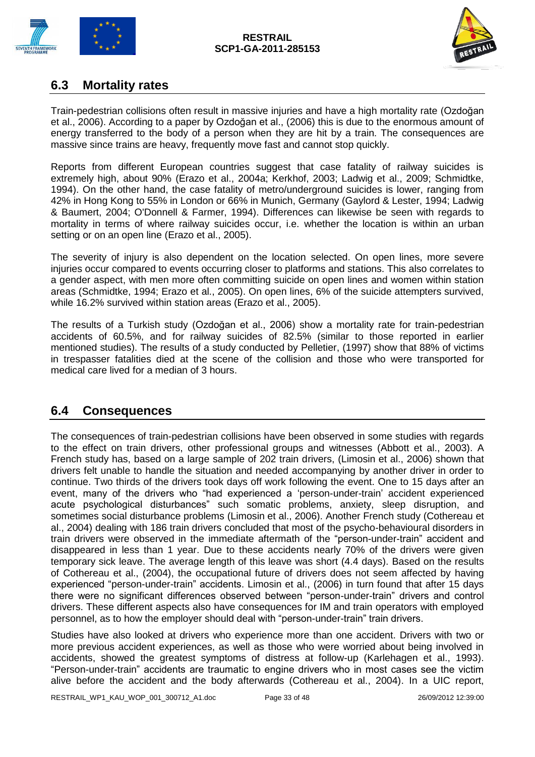



### <span id="page-32-0"></span>**6.3 Mortality rates**

Train-pedestrian collisions often result in massive injuries and have a high mortality rate (Ozdoğan et al., 2006). According to a paper by Ozdoğan et al., (2006) this is due to the enormous amount of energy transferred to the body of a person when they are hit by a train. The consequences are massive since trains are heavy, frequently move fast and cannot stop quickly.

Reports from different European countries suggest that case fatality of railway suicides is extremely high, about 90% (Erazo et al., 2004a; Kerkhof, 2003; Ladwig et al., 2009; Schmidtke, 1994). On the other hand, the case fatality of metro/underground suicides is lower, ranging from 42% in Hong Kong to 55% in London or 66% in Munich, Germany (Gaylord & Lester, 1994; Ladwig & Baumert, 2004; O'Donnell & Farmer, 1994). Differences can likewise be seen with regards to mortality in terms of where railway suicides occur, i.e. whether the location is within an urban setting or on an open line (Erazo et al., 2005).

The severity of injury is also dependent on the location selected. On open lines, more severe injuries occur compared to events occurring closer to platforms and stations. This also correlates to a gender aspect, with men more often committing suicide on open lines and women within station areas (Schmidtke, 1994; Erazo et al., 2005). On open lines, 6% of the suicide attempters survived, while 16.2% survived within station areas (Erazo et al., 2005).

The results of a Turkish study (Ozdoğan et al., 2006) show a mortality rate for train-pedestrian accidents of 60.5%, and for railway suicides of 82.5% (similar to those reported in earlier mentioned studies). The results of a study conducted by Pelletier, (1997) show that 88% of victims in trespasser fatalities died at the scene of the collision and those who were transported for medical care lived for a median of 3 hours.

### <span id="page-32-1"></span>**6.4 Consequences**

The consequences of train-pedestrian collisions have been observed in some studies with regards to the effect on train drivers, other professional groups and witnesses (Abbott et al., 2003). A French study has, based on a large sample of 202 train drivers, (Limosin et al., 2006) shown that drivers felt unable to handle the situation and needed accompanying by another driver in order to continue. Two thirds of the drivers took days off work following the event. One to 15 days after an event, many of the drivers who "had experienced a 'person-under-train' accident experienced acute psychological disturbances" such somatic problems, anxiety, sleep disruption, and sometimes social disturbance problems (Limosin et al., 2006). Another French study (Cothereau et al., 2004) dealing with 186 train drivers concluded that most of the psycho-behavioural disorders in train drivers were observed in the immediate aftermath of the "person-under-train" accident and disappeared in less than 1 year. Due to these accidents nearly 70% of the drivers were given temporary sick leave. The average length of this leave was short (4.4 days). Based on the results of Cothereau et al., (2004), the occupational future of drivers does not seem affected by having experienced "person-under-train" accidents. Limosin et al., (2006) in turn found that after 15 days there were no significant differences observed between "person-under-train" drivers and control drivers. These different aspects also have consequences for IM and train operators with employed personnel, as to how the employer should deal with "person-under-train" train drivers.

Studies have also looked at drivers who experience more than one accident. Drivers with two or more previous accident experiences, as well as those who were worried about being involved in accidents, showed the greatest symptoms of distress at follow-up (Karlehagen et al., 1993). "Person-under-train" accidents are traumatic to engine drivers who in most cases see the victim alive before the accident and the body afterwards (Cothereau et al., 2004). In a UIC report,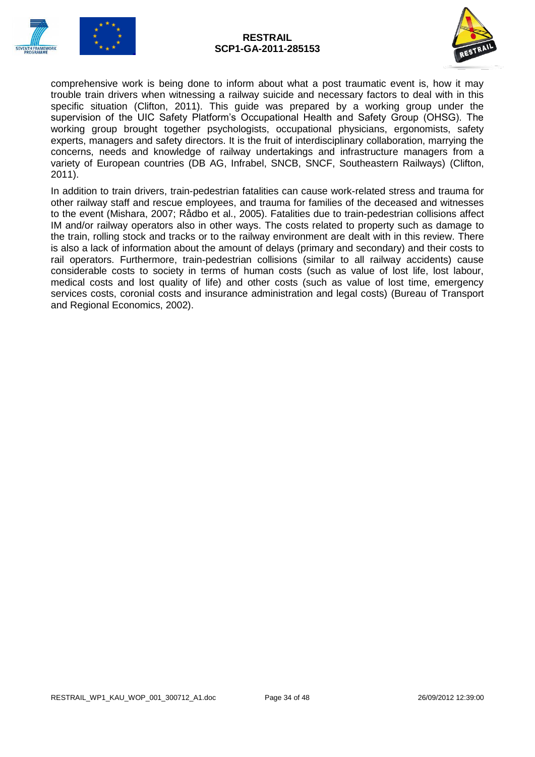



comprehensive work is being done to inform about what a post traumatic event is, how it may trouble train drivers when witnessing a railway suicide and necessary factors to deal with in this specific situation (Clifton, 2011). This guide was prepared by a working group under the supervision of the UIC Safety Platform's Occupational Health and Safety Group (OHSG). The working group brought together psychologists, occupational physicians, ergonomists, safety experts, managers and safety directors. It is the fruit of interdisciplinary collaboration, marrying the concerns, needs and knowledge of railway undertakings and infrastructure managers from a variety of European countries (DB AG, Infrabel, SNCB, SNCF, Southeastern Railways) (Clifton, 2011).

In addition to train drivers, train-pedestrian fatalities can cause work-related stress and trauma for other railway staff and rescue employees, and trauma for families of the deceased and witnesses to the event (Mishara, 2007; Rådbo et al., 2005). Fatalities due to train-pedestrian collisions affect IM and/or railway operators also in other ways. The costs related to property such as damage to the train, rolling stock and tracks or to the railway environment are dealt with in this review. There is also a lack of information about the amount of delays (primary and secondary) and their costs to rail operators. Furthermore, train-pedestrian collisions (similar to all railway accidents) cause considerable costs to society in terms of human costs (such as value of lost life, lost labour, medical costs and lost quality of life) and other costs (such as value of lost time, emergency services costs, coronial costs and insurance administration and legal costs) (Bureau of Transport and Regional Economics, 2002).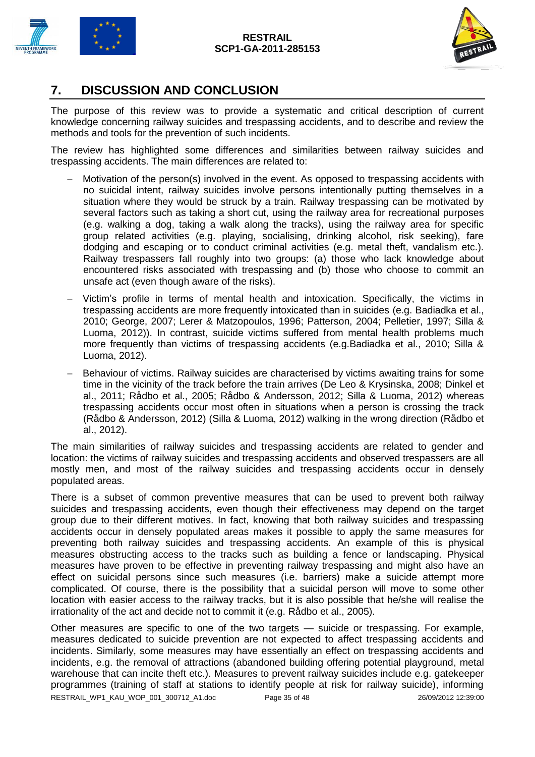



### <span id="page-34-0"></span>**7. DISCUSSION AND CONCLUSION**

The purpose of this review was to provide a systematic and critical description of current knowledge concerning railway suicides and trespassing accidents, and to describe and review the methods and tools for the prevention of such incidents.

The review has highlighted some differences and similarities between railway suicides and trespassing accidents. The main differences are related to:

- Motivation of the person(s) involved in the event. As opposed to trespassing accidents with no suicidal intent, railway suicides involve persons intentionally putting themselves in a situation where they would be struck by a train. Railway trespassing can be motivated by several factors such as taking a short cut, using the railway area for recreational purposes (e.g. walking a dog, taking a walk along the tracks), using the railway area for specific group related activities (e.g. playing, socialising, drinking alcohol, risk seeking), fare dodging and escaping or to conduct criminal activities (e.g. metal theft, vandalism etc.). Railway trespassers fall roughly into two groups: (a) those who lack knowledge about encountered risks associated with trespassing and (b) those who choose to commit an unsafe act (even though aware of the risks).
- Victim's profile in terms of mental health and intoxication. Specifically, the victims in trespassing accidents are more frequently intoxicated than in suicides (e.g. Badiadka et al., 2010; George, 2007; Lerer & Matzopoulos, 1996; Patterson, 2004; Pelletier, 1997; Silla & Luoma, 2012)). In contrast, suicide victims suffered from mental health problems much more frequently than victims of trespassing accidents (e.g.Badiadka et al., 2010; Silla & Luoma, 2012).
- Behaviour of victims. Railway suicides are characterised by victims awaiting trains for some time in the vicinity of the track before the train arrives (De Leo & Krysinska, 2008; Dinkel et al., 2011; Rådbo et al., 2005; Rådbo & Andersson, 2012; Silla & Luoma, 2012) whereas trespassing accidents occur most often in situations when a person is crossing the track (Rådbo & Andersson, 2012) (Silla & Luoma, 2012) walking in the wrong direction (Rådbo et al., 2012).

The main similarities of railway suicides and trespassing accidents are related to gender and location: the victims of railway suicides and trespassing accidents and observed trespassers are all mostly men, and most of the railway suicides and trespassing accidents occur in densely populated areas.

There is a subset of common preventive measures that can be used to prevent both railway suicides and trespassing accidents, even though their effectiveness may depend on the target group due to their different motives. In fact, knowing that both railway suicides and trespassing accidents occur in densely populated areas makes it possible to apply the same measures for preventing both railway suicides and trespassing accidents. An example of this is physical measures obstructing access to the tracks such as building a fence or landscaping. Physical measures have proven to be effective in preventing railway trespassing and might also have an effect on suicidal persons since such measures (i.e. barriers) make a suicide attempt more complicated. Of course, there is the possibility that a suicidal person will move to some other location with easier access to the railway tracks, but it is also possible that he/she will realise the irrationality of the act and decide not to commit it (e.g. Rådbo et al., 2005).

RESTRAIL\_WP1\_KAU\_WOP\_001\_300712\_A1.doc Page 35 of 48 26/09/2012 12:39:00 Other measures are specific to one of the two targets — suicide or trespassing. For example, measures dedicated to suicide prevention are not expected to affect trespassing accidents and incidents. Similarly, some measures may have essentially an effect on trespassing accidents and incidents, e.g. the removal of attractions (abandoned building offering potential playground, metal warehouse that can incite theft etc.). Measures to prevent railway suicides include e.g. gatekeeper programmes (training of staff at stations to identify people at risk for railway suicide), informing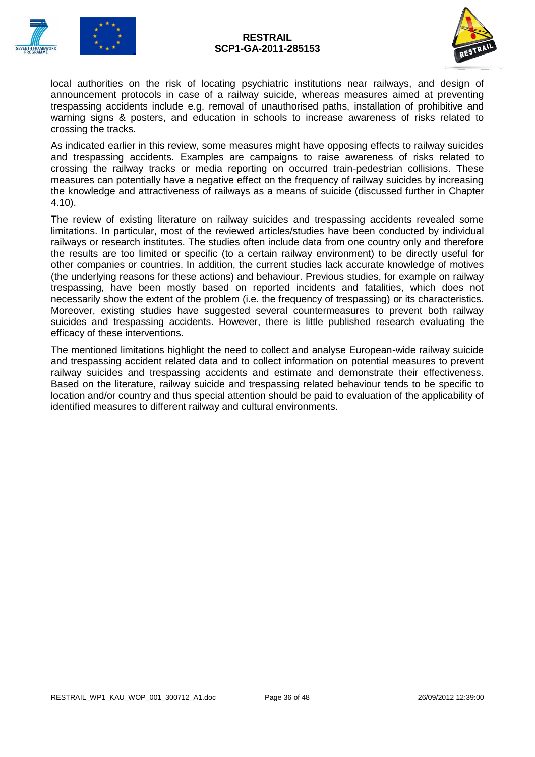



local authorities on the risk of locating psychiatric institutions near railways, and design of announcement protocols in case of a railway suicide, whereas measures aimed at preventing trespassing accidents include e.g. removal of unauthorised paths, installation of prohibitive and warning signs & posters, and education in schools to increase awareness of risks related to crossing the tracks.

As indicated earlier in this review, some measures might have opposing effects to railway suicides and trespassing accidents. Examples are campaigns to raise awareness of risks related to crossing the railway tracks or media reporting on occurred train-pedestrian collisions. These measures can potentially have a negative effect on the frequency of railway suicides by increasing the knowledge and attractiveness of railways as a means of suicide (discussed further in Chapter 4.10).

The review of existing literature on railway suicides and trespassing accidents revealed some limitations. In particular, most of the reviewed articles/studies have been conducted by individual railways or research institutes. The studies often include data from one country only and therefore the results are too limited or specific (to a certain railway environment) to be directly useful for other companies or countries. In addition, the current studies lack accurate knowledge of motives (the underlying reasons for these actions) and behaviour. Previous studies, for example on railway trespassing, have been mostly based on reported incidents and fatalities, which does not necessarily show the extent of the problem (i.e. the frequency of trespassing) or its characteristics. Moreover, existing studies have suggested several countermeasures to prevent both railway suicides and trespassing accidents. However, there is little published research evaluating the efficacy of these interventions.

The mentioned limitations highlight the need to collect and analyse European-wide railway suicide and trespassing accident related data and to collect information on potential measures to prevent railway suicides and trespassing accidents and estimate and demonstrate their effectiveness. Based on the literature, railway suicide and trespassing related behaviour tends to be specific to location and/or country and thus special attention should be paid to evaluation of the applicability of identified measures to different railway and cultural environments.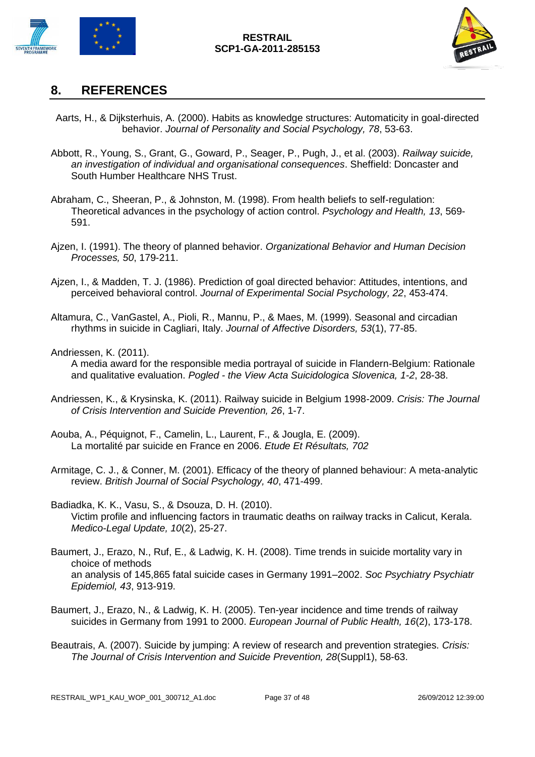



### <span id="page-36-0"></span>**8. REFERENCES**

- Aarts, H., & Dijksterhuis, A. (2000). Habits as knowledge structures: Automaticity in goal-directed behavior. *Journal of Personality and Social Psychology, 78*, 53-63.
- Abbott, R., Young, S., Grant, G., Goward, P., Seager, P., Pugh, J., et al. (2003). *Railway suicide, an investigation of individual and organisational consequences*. Sheffield: Doncaster and South Humber Healthcare NHS Trust.
- Abraham, C., Sheeran, P., & Johnston, M. (1998). From health beliefs to self-regulation: Theoretical advances in the psychology of action control. *Psychology and Health, 13*, 569- 591.
- Ajzen, I. (1991). The theory of planned behavior. *Organizational Behavior and Human Decision Processes, 50*, 179-211.
- Ajzen, I., & Madden, T. J. (1986). Prediction of goal directed behavior: Attitudes, intentions, and perceived behavioral control. *Journal of Experimental Social Psychology, 22*, 453-474.
- Altamura, C., VanGastel, A., Pioli, R., Mannu, P., & Maes, M. (1999). Seasonal and circadian rhythms in suicide in Cagliari, Italy. *Journal of Affective Disorders, 53*(1), 77-85.

#### Andriessen, K. (2011).

A media award for the responsible media portrayal of suicide in Flandern-Belgium: Rationale and qualitative evaluation. *Pogled - the View Acta Suicidologica Slovenica, 1-2*, 28-38.

- Andriessen, K., & Krysinska, K. (2011). Railway suicide in Belgium 1998-2009. *Crisis: The Journal of Crisis Intervention and Suicide Prevention, 26*, 1-7.
- Aouba, A., Péquignot, F., Camelin, L., Laurent, F., & Jougla, E. (2009). La mortalité par suicide en France en 2006. *Etude Et Résultats, 702*
- Armitage, C. J., & Conner, M. (2001). Efficacy of the theory of planned behaviour: A meta-analytic review. *British Journal of Social Psychology, 40*, 471-499.
- Badiadka, K. K., Vasu, S., & Dsouza, D. H. (2010). Victim profile and influencing factors in traumatic deaths on railway tracks in Calicut, Kerala. *Medico-Legal Update, 10*(2), 25-27.
- Baumert, J., Erazo, N., Ruf, E., & Ladwig, K. H. (2008). Time trends in suicide mortality vary in choice of methods an analysis of 145,865 fatal suicide cases in Germany 1991–2002. *Soc Psychiatry Psychiatr Epidemiol, 43*, 913-919.
- Baumert, J., Erazo, N., & Ladwig, K. H. (2005). Ten-year incidence and time trends of railway suicides in Germany from 1991 to 2000. *European Journal of Public Health, 16*(2), 173-178.
- Beautrais, A. (2007). Suicide by jumping: A review of research and prevention strategies. *Crisis: The Journal of Crisis Intervention and Suicide Prevention, 28*(Suppl1), 58-63.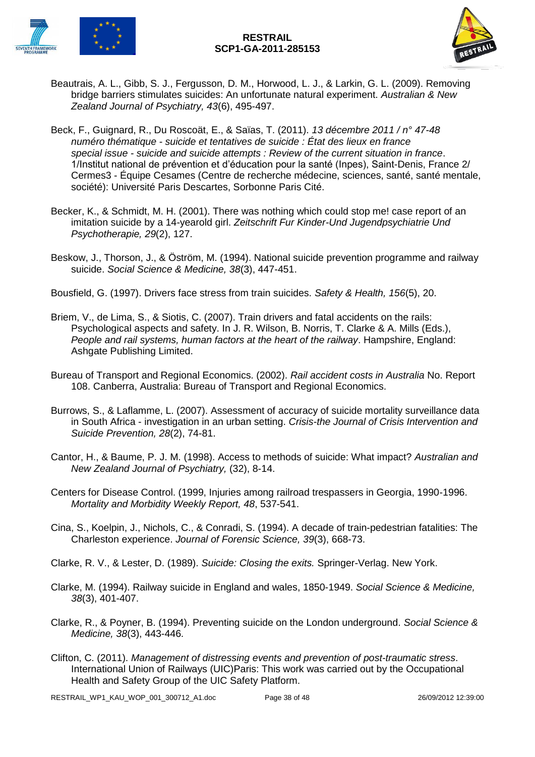



- Beautrais, A. L., Gibb, S. J., Fergusson, D. M., Horwood, L. J., & Larkin, G. L. (2009). Removing bridge barriers stimulates suicides: An unfortunate natural experiment. *Australian & New Zealand Journal of Psychiatry, 43*(6), 495-497.
- Beck, F., Guignard, R., Du Roscoät, E., & Saïas, T. (2011). *13 décembre 2011 / n° 47-48 numéro thématique - suicide et tentatives de suicide : État des lieux en france special issue - suicide and suicide attempts : Review of the current situation in france*. 1/Institut national de prévention et d'éducation pour la santé (Inpes), Saint-Denis, France 2/ Cermes3 - Équipe Cesames (Centre de recherche médecine, sciences, santé, santé mentale, société): Université Paris Descartes, Sorbonne Paris Cité.
- Becker, K., & Schmidt, M. H. (2001). There was nothing which could stop me! case report of an imitation suicide by a 14-yearold girl. *Zeitschrift Fur Kinder-Und Jugendpsychiatrie Und Psychotherapie, 29*(2), 127.
- Beskow, J., Thorson, J., & Öström, M. (1994). National suicide prevention programme and railway suicide. *Social Science & Medicine, 38*(3), 447-451.
- Bousfield, G. (1997). Drivers face stress from train suicides. *Safety & Health, 156*(5), 20.
- Briem, V., de Lima, S., & Siotis, C. (2007). Train drivers and fatal accidents on the rails: Psychological aspects and safety. In J. R. Wilson, B. Norris, T. Clarke & A. Mills (Eds.), *People and rail systems, human factors at the heart of the railway*. Hampshire, England: Ashgate Publishing Limited.
- Bureau of Transport and Regional Economics. (2002). *Rail accident costs in Australia* No. Report 108. Canberra, Australia: Bureau of Transport and Regional Economics.
- Burrows, S., & Laflamme, L. (2007). Assessment of accuracy of suicide mortality surveillance data in South Africa - investigation in an urban setting. *Crisis-the Journal of Crisis Intervention and Suicide Prevention, 28*(2), 74-81.
- Cantor, H., & Baume, P. J. M. (1998). Access to methods of suicide: What impact? *Australian and New Zealand Journal of Psychiatry,* (32), 8-14.
- Centers for Disease Control. (1999, Injuries among railroad trespassers in Georgia, 1990-1996. *Mortality and Morbidity Weekly Report, 48*, 537-541.
- Cina, S., Koelpin, J., Nichols, C., & Conradi, S. (1994). A decade of train-pedestrian fatalities: The Charleston experience. *Journal of Forensic Science, 39*(3), 668-73.
- Clarke, R. V., & Lester, D. (1989). *Suicide: Closing the exits.* Springer-Verlag. New York.
- Clarke, M. (1994). Railway suicide in England and wales, 1850-1949. *Social Science & Medicine, 38*(3), 401-407.
- Clarke, R., & Poyner, B. (1994). Preventing suicide on the London underground. *Social Science & Medicine, 38*(3), 443-446.
- Clifton, C. (2011). *Management of distressing events and prevention of post-traumatic stress*. International Union of Railways (UIC)Paris: This work was carried out by the Occupational Health and Safety Group of the UIC Safety Platform.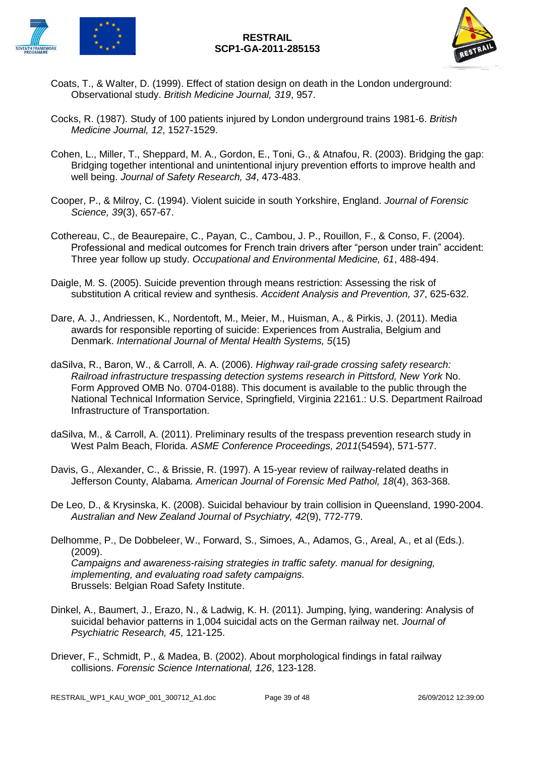



- Coats, T., & Walter, D. (1999). Effect of station design on death in the London underground: Observational study. *British Medicine Journal, 319*, 957.
- Cocks, R. (1987). Study of 100 patients injured by London underground trains 1981-6. *British Medicine Journal, 12*, 1527-1529.
- Cohen, L., Miller, T., Sheppard, M. A., Gordon, E., Toni, G., & Atnafou, R. (2003). Bridging the gap: Bridging together intentional and unintentional injury prevention efforts to improve health and well being. *Journal of Safety Research, 34*, 473-483.
- Cooper, P., & Milroy, C. (1994). Violent suicide in south Yorkshire, England. *Journal of Forensic Science, 39*(3), 657-67.
- Cothereau, C., de Beaurepaire, C., Payan, C., Cambou, J. P., Rouillon, F., & Conso, F. (2004). Professional and medical outcomes for French train drivers after "person under train" accident: Three year follow up study. *Occupational and Environmental Medicine, 61*, 488-494.
- Daigle, M. S. (2005). Suicide prevention through means restriction: Assessing the risk of substitution A critical review and synthesis. *Accident Analysis and Prevention, 37*, 625-632.
- Dare, A. J., Andriessen, K., Nordentoft, M., Meier, M., Huisman, A., & Pirkis, J. (2011). Media awards for responsible reporting of suicide: Experiences from Australia, Belgium and Denmark. *International Journal of Mental Health Systems, 5*(15)
- daSilva, R., Baron, W., & Carroll, A. A. (2006). *Highway rail-grade crossing safety research: Railroad infrastructure trespassing detection systems research in Pittsford, New York* No. Form Approved OMB No. 0704-0188). This document is available to the public through the National Technical Information Service, Springfield, Virginia 22161.: U.S. Department Railroad Infrastructure of Transportation.
- daSilva, M., & Carroll, A. (2011). Preliminary results of the trespass prevention research study in West Palm Beach, Florida. *ASME Conference Proceedings, 2011*(54594), 571-577.
- Davis, G., Alexander, C., & Brissie, R. (1997). A 15-year review of railway-related deaths in Jefferson County, Alabama. *American Journal of Forensic Med Pathol, 18*(4), 363-368.
- De Leo, D., & Krysinska, K. (2008). Suicidal behaviour by train collision in Queensland, 1990-2004. *Australian and New Zealand Journal of Psychiatry, 42*(9), 772-779.
- Delhomme, P., De Dobbeleer, W., Forward, S., Simoes, A., Adamos, G., Areal, A., et al (Eds.). (2009). *Campaigns and awareness-raising strategies in traffic safety. manual for designing, implementing, and evaluating road safety campaigns.*  Brussels: Belgian Road Safety Institute.
- Dinkel, A., Baumert, J., Erazo, N., & Ladwig, K. H. (2011). Jumping, lying, wandering: Analysis of suicidal behavior patterns in 1,004 suicidal acts on the German railway net. *Journal of Psychiatric Research, 45*, 121-125.
- Driever, F., Schmidt, P., & Madea, B. (2002). About morphological findings in fatal railway collisions. *Forensic Science International, 126*, 123-128.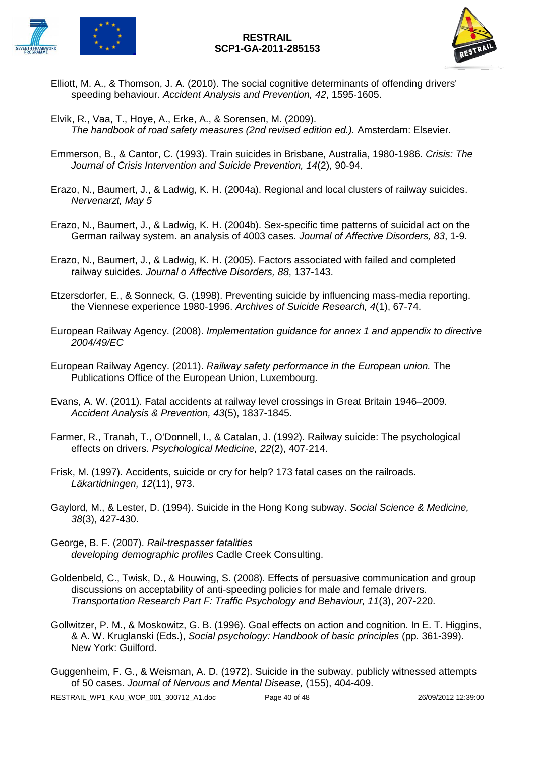

- Elliott, M. A., & Thomson, J. A. (2010). The social cognitive determinants of offending drivers' speeding behaviour. *Accident Analysis and Prevention, 42*, 1595-1605.
- Elvik, R., Vaa, T., Hoye, A., Erke, A., & Sorensen, M. (2009). *The handbook of road safety measures (2nd revised edition ed.).* Amsterdam: Elsevier.
- Emmerson, B., & Cantor, C. (1993). Train suicides in Brisbane, Australia, 1980-1986. *Crisis: The Journal of Crisis Intervention and Suicide Prevention, 14*(2), 90-94.
- Erazo, N., Baumert, J., & Ladwig, K. H. (2004a). Regional and local clusters of railway suicides. *Nervenarzt, May 5*
- Erazo, N., Baumert, J., & Ladwig, K. H. (2004b). Sex-specific time patterns of suicidal act on the German railway system. an analysis of 4003 cases. *Journal of Affective Disorders, 83*, 1-9.
- Erazo, N., Baumert, J., & Ladwig, K. H. (2005). Factors associated with failed and completed railway suicides. *Journal o Affective Disorders, 88*, 137-143.
- Etzersdorfer, E., & Sonneck, G. (1998). Preventing suicide by influencing mass-media reporting. the Viennese experience 1980-1996. *Archives of Suicide Research, 4*(1), 67-74.
- European Railway Agency. (2008). *Implementation guidance for annex 1 and appendix to directive 2004/49/EC*
- European Railway Agency. (2011). *Railway safety performance in the European union.* The Publications Office of the European Union, Luxembourg.
- Evans, A. W. (2011). Fatal accidents at railway level crossings in Great Britain 1946–2009. *Accident Analysis & Prevention, 43*(5), 1837-1845.
- Farmer, R., Tranah, T., O'Donnell, I., & Catalan, J. (1992). Railway suicide: The psychological effects on drivers. *Psychological Medicine, 22*(2), 407-214.
- Frisk, M. (1997). Accidents, suicide or cry for help? 173 fatal cases on the railroads. *Läkartidningen, 12*(11), 973.
- Gaylord, M., & Lester, D. (1994). Suicide in the Hong Kong subway. *Social Science & Medicine, 38*(3), 427-430.
- George, B. F. (2007). *Rail-trespasser fatalities developing demographic profiles* Cadle Creek Consulting.
- Goldenbeld, C., Twisk, D., & Houwing, S. (2008). Effects of persuasive communication and group discussions on acceptability of anti-speeding policies for male and female drivers. *Transportation Research Part F: Traffic Psychology and Behaviour, 11*(3), 207-220.
- Gollwitzer, P. M., & Moskowitz, G. B. (1996). Goal effects on action and cognition. In E. T. Higgins, & A. W. Kruglanski (Eds.), *Social psychology: Handbook of basic principles* (pp. 361-399). New York: Guilford.
- Guggenheim, F. G., & Weisman, A. D. (1972). Suicide in the subway. publicly witnessed attempts of 50 cases. *Journal of Nervous and Mental Disease,* (155), 404-409.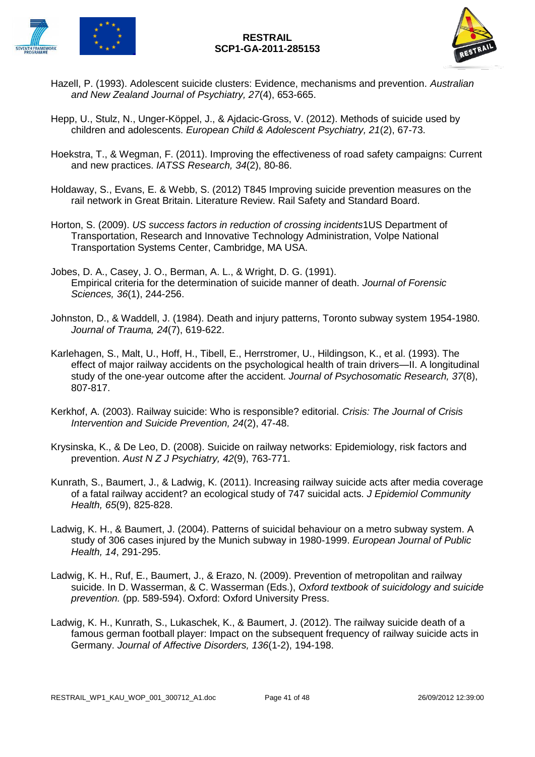



- Hazell, P. (1993). Adolescent suicide clusters: Evidence, mechanisms and prevention. *Australian and New Zealand Journal of Psychiatry, 27*(4), 653-665.
- Hepp, U., Stulz, N., Unger-Köppel, J., & Ajdacic-Gross, V. (2012). Methods of suicide used by children and adolescents. *European Child & Adolescent Psychiatry, 21*(2), 67-73.
- Hoekstra, T., & Wegman, F. (2011). Improving the effectiveness of road safety campaigns: Current and new practices. *IATSS Research, 34*(2), 80-86.
- Holdaway, S., Evans, E. & Webb, S. (2012) T845 Improving suicide prevention measures on the rail network in Great Britain. Literature Review. Rail Safety and Standard Board.
- Horton, S. (2009). *US success factors in reduction of crossing incidents*1US Department of Transportation, Research and Innovative Technology Administration, Volpe National Transportation Systems Center, Cambridge, MA USA.
- Jobes, D. A., Casey, J. O., Berman, A. L., & Wright, D. G. (1991). Empirical criteria for the determination of suicide manner of death. *Journal of Forensic Sciences, 36*(1), 244-256.
- Johnston, D., & Waddell, J. (1984). Death and injury patterns, Toronto subway system 1954-1980. *Journal of Trauma, 24*(7), 619-622.
- Karlehagen, S., Malt, U., Hoff, H., Tibell, E., Herrstromer, U., Hildingson, K., et al. (1993). The effect of major railway accidents on the psychological health of train drivers—II. A longitudinal study of the one-year outcome after the accident. *Journal of Psychosomatic Research, 37*(8), 807-817.
- Kerkhof, A. (2003). Railway suicide: Who is responsible? editorial. *Crisis: The Journal of Crisis Intervention and Suicide Prevention, 24*(2), 47-48.
- Krysinska, K., & De Leo, D. (2008). Suicide on railway networks: Epidemiology, risk factors and prevention. *Aust N Z J Psychiatry, 42*(9), 763-771.
- Kunrath, S., Baumert, J., & Ladwig, K. (2011). Increasing railway suicide acts after media coverage of a fatal railway accident? an ecological study of 747 suicidal acts. *J Epidemiol Community Health, 65*(9), 825-828.
- Ladwig, K. H., & Baumert, J. (2004). Patterns of suicidal behaviour on a metro subway system. A study of 306 cases injured by the Munich subway in 1980-1999. *European Journal of Public Health, 14*, 291-295.
- Ladwig, K. H., Ruf, E., Baumert, J., & Erazo, N. (2009). Prevention of metropolitan and railway suicide. In D. Wasserman, & C. Wasserman (Eds.), *Oxford textbook of suicidology and suicide prevention.* (pp. 589-594). Oxford: Oxford University Press.
- Ladwig, K. H., Kunrath, S., Lukaschek, K., & Baumert, J. (2012). The railway suicide death of a famous german football player: Impact on the subsequent frequency of railway suicide acts in Germany. *Journal of Affective Disorders, 136*(1-2), 194-198.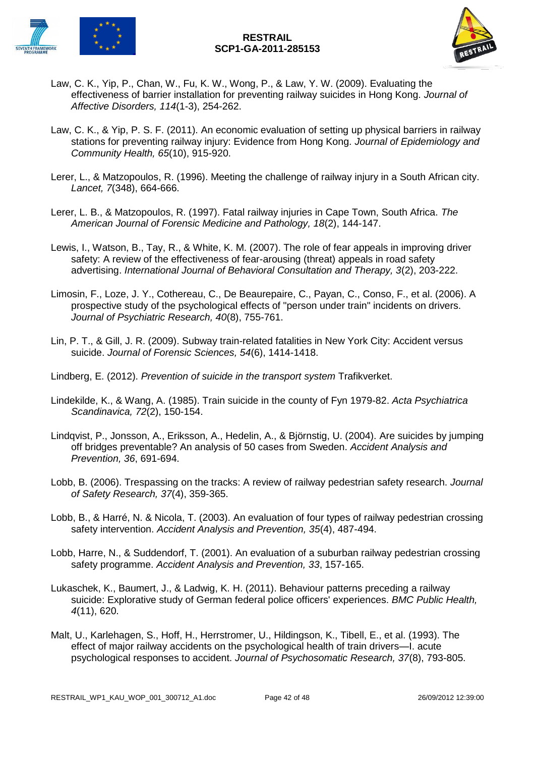



- Law, C. K., Yip, P., Chan, W., Fu, K. W., Wong, P., & Law, Y. W. (2009). Evaluating the effectiveness of barrier installation for preventing railway suicides in Hong Kong. *Journal of Affective Disorders, 114*(1-3), 254-262.
- Law, C. K., & Yip, P. S. F. (2011). An economic evaluation of setting up physical barriers in railway stations for preventing railway injury: Evidence from Hong Kong. *Journal of Epidemiology and Community Health, 65*(10), 915-920.
- Lerer, L., & Matzopoulos, R. (1996). Meeting the challenge of railway injury in a South African city. *Lancet, 7*(348), 664-666.
- Lerer, L. B., & Matzopoulos, R. (1997). Fatal railway injuries in Cape Town, South Africa. *The American Journal of Forensic Medicine and Pathology, 18*(2), 144-147.
- Lewis, I., Watson, B., Tay, R., & White, K. M. (2007). The role of fear appeals in improving driver safety: A review of the effectiveness of fear-arousing (threat) appeals in road safety advertising. *International Journal of Behavioral Consultation and Therapy, 3*(2), 203-222.
- Limosin, F., Loze, J. Y., Cothereau, C., De Beaurepaire, C., Payan, C., Conso, F., et al. (2006). A prospective study of the psychological effects of "person under train" incidents on drivers. *Journal of Psychiatric Research, 40*(8), 755-761.
- Lin, P. T., & Gill, J. R. (2009). Subway train-related fatalities in New York City: Accident versus suicide. *Journal of Forensic Sciences, 54*(6), 1414-1418.
- Lindberg, E. (2012). *Prevention of suicide in the transport system* Trafikverket.
- Lindekilde, K., & Wang, A. (1985). Train suicide in the county of Fyn 1979-82. *Acta Psychiatrica Scandinavica, 72*(2), 150-154.
- Lindqvist, P., Jonsson, A., Eriksson, A., Hedelin, A., & Björnstig, U. (2004). Are suicides by jumping off bridges preventable? An analysis of 50 cases from Sweden. *Accident Analysis and Prevention, 36*, 691-694.
- Lobb, B. (2006). Trespassing on the tracks: A review of railway pedestrian safety research. *Journal of Safety Research, 37*(4), 359-365.
- Lobb, B., & Harré, N. & Nicola, T. (2003). An evaluation of four types of railway pedestrian crossing safety intervention. *Accident Analysis and Prevention, 35*(4), 487-494.
- Lobb, Harre, N., & Suddendorf, T. (2001). An evaluation of a suburban railway pedestrian crossing safety programme. *Accident Analysis and Prevention, 33*, 157-165.
- Lukaschek, K., Baumert, J., & Ladwig, K. H. (2011). Behaviour patterns preceding a railway suicide: Explorative study of German federal police officers' experiences. *BMC Public Health, 4*(11), 620.
- Malt, U., Karlehagen, S., Hoff, H., Herrstromer, U., Hildingson, K., Tibell, E., et al. (1993). The effect of major railway accidents on the psychological health of train drivers—I. acute psychological responses to accident. *Journal of Psychosomatic Research, 37*(8), 793-805.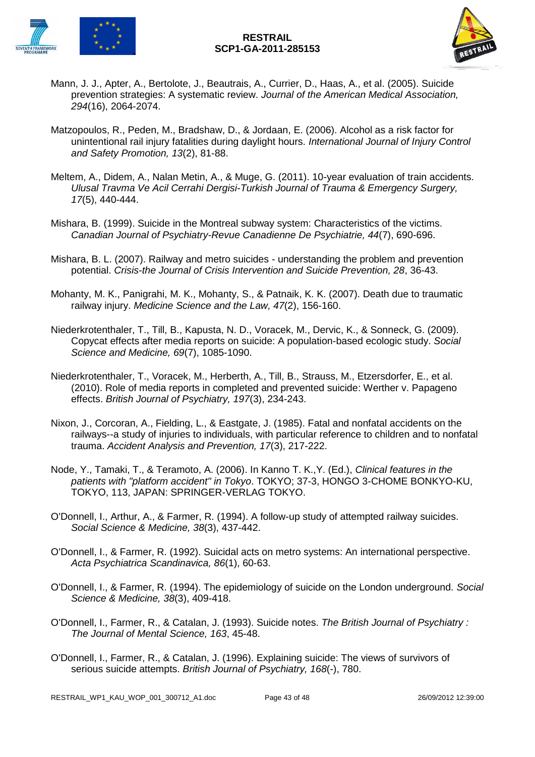



- Mann, J. J., Apter, A., Bertolote, J., Beautrais, A., Currier, D., Haas, A., et al. (2005). Suicide prevention strategies: A systematic review. *Journal of the American Medical Association, 294*(16), 2064-2074.
- Matzopoulos, R., Peden, M., Bradshaw, D., & Jordaan, E. (2006). Alcohol as a risk factor for unintentional rail injury fatalities during daylight hours. *International Journal of Injury Control and Safety Promotion, 13*(2), 81-88.
- Meltem, A., Didem, A., Nalan Metin, A., & Muge, G. (2011). 10-year evaluation of train accidents. *Ulusal Travma Ve Acil Cerrahi Dergisi-Turkish Journal of Trauma & Emergency Surgery, 17*(5), 440-444.
- Mishara, B. (1999). Suicide in the Montreal subway system: Characteristics of the victims. *Canadian Journal of Psychiatry-Revue Canadienne De Psychiatrie, 44*(7), 690-696.
- Mishara, B. L. (2007). Railway and metro suicides understanding the problem and prevention potential. *Crisis-the Journal of Crisis Intervention and Suicide Prevention, 28*, 36-43.
- Mohanty, M. K., Panigrahi, M. K., Mohanty, S., & Patnaik, K. K. (2007). Death due to traumatic railway injury. *Medicine Science and the Law, 47*(2), 156-160.
- Niederkrotenthaler, T., Till, B., Kapusta, N. D., Voracek, M., Dervic, K., & Sonneck, G. (2009). Copycat effects after media reports on suicide: A population-based ecologic study. *Social Science and Medicine, 69*(7), 1085-1090.
- Niederkrotenthaler, T., Voracek, M., Herberth, A., Till, B., Strauss, M., Etzersdorfer, E., et al. (2010). Role of media reports in completed and prevented suicide: Werther v. Papageno effects. *British Journal of Psychiatry, 197*(3), 234-243.
- Nixon, J., Corcoran, A., Fielding, L., & Eastgate, J. (1985). Fatal and nonfatal accidents on the railways--a study of injuries to individuals, with particular reference to children and to nonfatal trauma. *Accident Analysis and Prevention, 17*(3), 217-222.
- Node, Y., Tamaki, T., & Teramoto, A. (2006). In Kanno T. K.,Y. (Ed.), *Clinical features in the patients with "platform accident" in Tokyo*. TOKYO; 37-3, HONGO 3-CHOME BONKYO-KU, TOKYO, 113, JAPAN: SPRINGER-VERLAG TOKYO.
- O'Donnell, I., Arthur, A., & Farmer, R. (1994). A follow-up study of attempted railway suicides. *Social Science & Medicine, 38*(3), 437-442.
- O'Donnell, I., & Farmer, R. (1992). Suicidal acts on metro systems: An international perspective. *Acta Psychiatrica Scandinavica, 86*(1), 60-63.
- O'Donnell, I., & Farmer, R. (1994). The epidemiology of suicide on the London underground. *Social Science & Medicine, 38*(3), 409-418.
- O'Donnell, I., Farmer, R., & Catalan, J. (1993). Suicide notes. *The British Journal of Psychiatry : The Journal of Mental Science, 163*, 45-48.
- O'Donnell, I., Farmer, R., & Catalan, J. (1996). Explaining suicide: The views of survivors of serious suicide attempts. *British Journal of Psychiatry, 168*(-), 780.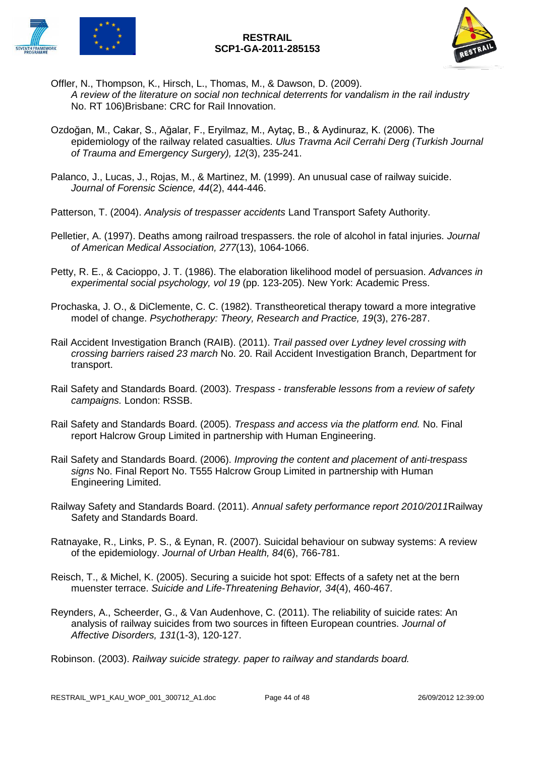



- Offler, N., Thompson, K., Hirsch, L., Thomas, M., & Dawson, D. (2009). *A review of the literature on social non technical deterrents for vandalism in the rail industry* No. RT 106)Brisbane: CRC for Rail Innovation.
- Ozdoğan, M., Cakar, S., Ağalar, F., Eryilmaz, M., Aytaç, B., & Aydinuraz, K. (2006). The epidemiology of the railway related casualties. *Ulus Travma Acil Cerrahi Derg (Turkish Journal of Trauma and Emergency Surgery), 12*(3), 235-241.
- Palanco, J., Lucas, J., Rojas, M., & Martinez, M. (1999). An unusual case of railway suicide. *Journal of Forensic Science, 44*(2), 444-446.
- Patterson, T. (2004). *Analysis of trespasser accidents* Land Transport Safety Authority.
- Pelletier, A. (1997). Deaths among railroad trespassers. the role of alcohol in fatal injuries. *Journal of American Medical Association, 277*(13), 1064-1066.
- Petty, R. E., & Cacioppo, J. T. (1986). The elaboration likelihood model of persuasion. *Advances in experimental social psychology, vol 19* (pp. 123-205). New York: Academic Press.
- Prochaska, J. O., & DiClemente, C. C. (1982). Transtheoretical therapy toward a more integrative model of change. *Psychotherapy: Theory, Research and Practice, 19*(3), 276-287.
- Rail Accident Investigation Branch (RAIB). (2011). *Trail passed over Lydney level crossing with crossing barriers raised 23 march* No. 20. Rail Accident Investigation Branch, Department for transport.
- Rail Safety and Standards Board. (2003). *Trespass - transferable lessons from a review of safety campaigns.* London: RSSB.
- Rail Safety and Standards Board. (2005). *Trespass and access via the platform end.* No. Final report Halcrow Group Limited in partnership with Human Engineering.
- Rail Safety and Standards Board. (2006). *Improving the content and placement of anti-trespass signs* No. Final Report No. T555 Halcrow Group Limited in partnership with Human Engineering Limited.
- Railway Safety and Standards Board. (2011). *Annual safety performance report 2010/2011*Railway Safety and Standards Board.
- Ratnayake, R., Links, P. S., & Eynan, R. (2007). Suicidal behaviour on subway systems: A review of the epidemiology. *Journal of Urban Health, 84*(6), 766-781.
- Reisch, T., & Michel, K. (2005). Securing a suicide hot spot: Effects of a safety net at the bern muenster terrace. *Suicide and Life-Threatening Behavior, 34*(4), 460-467.
- Reynders, A., Scheerder, G., & Van Audenhove, C. (2011). The reliability of suicide rates: An analysis of railway suicides from two sources in fifteen European countries. *Journal of Affective Disorders, 131*(1-3), 120-127.
- Robinson. (2003). *Railway suicide strategy. paper to railway and standards board.*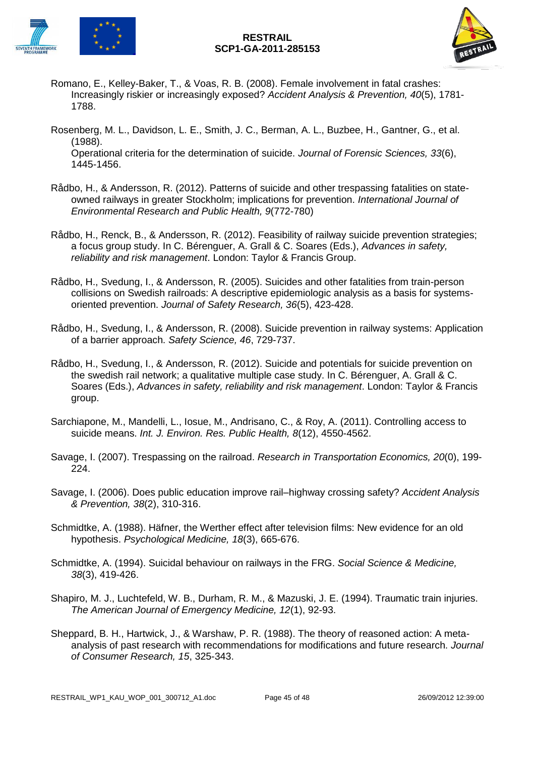

- Romano, E., Kelley-Baker, T., & Voas, R. B. (2008). Female involvement in fatal crashes: Increasingly riskier or increasingly exposed? *Accident Analysis & Prevention, 40*(5), 1781- 1788.
- Rosenberg, M. L., Davidson, L. E., Smith, J. C., Berman, A. L., Buzbee, H., Gantner, G., et al. (1988). Operational criteria for the determination of suicide. *Journal of Forensic Sciences, 33*(6), 1445-1456.
- Rådbo, H., & Andersson, R. (2012). Patterns of suicide and other trespassing fatalities on stateowned railways in greater Stockholm; implications for prevention. *International Journal of Environmental Research and Public Health, 9*(772-780)
- Rådbo, H., Renck, B., & Andersson, R. (2012). Feasibility of railway suicide prevention strategies; a focus group study. In C. Bérenguer, A. Grall & C. Soares (Eds.), *Advances in safety, reliability and risk management*. London: Taylor & Francis Group.
- Rådbo, H., Svedung, I., & Andersson, R. (2005). Suicides and other fatalities from train-person collisions on Swedish railroads: A descriptive epidemiologic analysis as a basis for systemsoriented prevention. *Journal of Safety Research, 36*(5), 423-428.
- Rådbo, H., Svedung, I., & Andersson, R. (2008). Suicide prevention in railway systems: Application of a barrier approach. *Safety Science, 46*, 729-737.
- Rådbo, H., Svedung, I., & Andersson, R. (2012). Suicide and potentials for suicide prevention on the swedish rail network; a qualitative multiple case study. In C. Bérenguer, A. Grall & C. Soares (Eds.), *Advances in safety, reliability and risk management*. London: Taylor & Francis group.
- Sarchiapone, M., Mandelli, L., Iosue, M., Andrisano, C., & Roy, A. (2011). Controlling access to suicide means. *Int. J. Environ. Res. Public Health, 8*(12), 4550-4562.
- Savage, I. (2007). Trespassing on the railroad. *Research in Transportation Economics, 20*(0), 199- 224.
- Savage, I. (2006). Does public education improve rail–highway crossing safety? *Accident Analysis & Prevention, 38*(2), 310-316.
- Schmidtke, A. (1988). Häfner, the Werther effect after television films: New evidence for an old hypothesis. *Psychological Medicine, 18*(3), 665-676.
- Schmidtke, A. (1994). Suicidal behaviour on railways in the FRG. *Social Science & Medicine, 38*(3), 419-426.
- Shapiro, M. J., Luchtefeld, W. B., Durham, R. M., & Mazuski, J. E. (1994). Traumatic train injuries. *The American Journal of Emergency Medicine, 12*(1), 92-93.
- Sheppard, B. H., Hartwick, J., & Warshaw, P. R. (1988). The theory of reasoned action: A metaanalysis of past research with recommendations for modifications and future research. *Journal of Consumer Research, 15*, 325-343.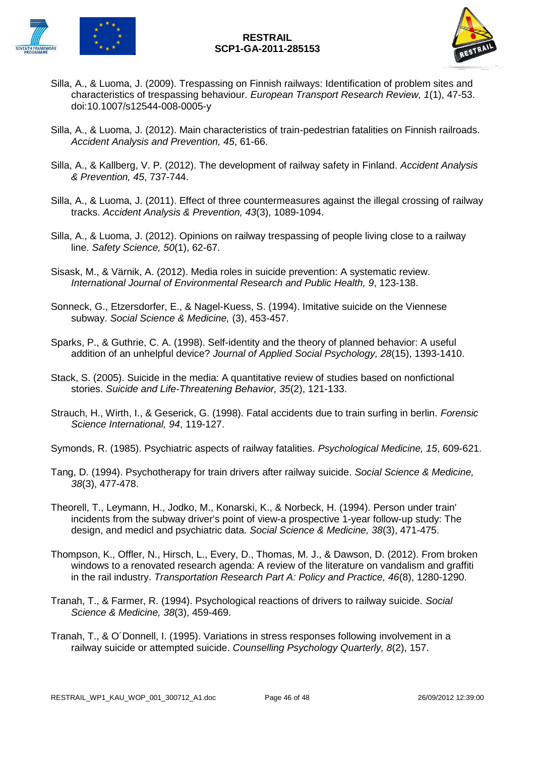

- Silla, A., & Luoma, J. (2009). Trespassing on Finnish railways: Identification of problem sites and characteristics of trespassing behaviour. *European Transport Research Review, 1*(1), 47-53. doi:10.1007/s12544-008-0005-y
- Silla, A., & Luoma, J. (2012). Main characteristics of train-pedestrian fatalities on Finnish railroads. *Accident Analysis and Prevention, 45*, 61-66.
- Silla, A., & Kallberg, V. P. (2012). The development of railway safety in Finland. *Accident Analysis & Prevention, 45*, 737-744.
- Silla, A., & Luoma, J. (2011). Effect of three countermeasures against the illegal crossing of railway tracks. *Accident Analysis & Prevention, 43*(3), 1089-1094.
- Silla, A., & Luoma, J. (2012). Opinions on railway trespassing of people living close to a railway line. *Safety Science, 50*(1), 62-67.
- Sisask, M., & Värnik, A. (2012). Media roles in suicide prevention: A systematic review. *International Journal of Environmental Research and Public Health, 9*, 123-138.
- Sonneck, G., Etzersdorfer, E., & Nagel-Kuess, S. (1994). Imitative suicide on the Viennese subway. *Social Science & Medicine,* (3), 453-457.
- Sparks, P., & Guthrie, C. A. (1998). Self-identity and the theory of planned behavior: A useful addition of an unhelpful device? *Journal of Applied Social Psychology, 28*(15), 1393-1410.
- Stack, S. (2005). Suicide in the media: A quantitative review of studies based on nonfictional stories. *Suicide and Life-Threatening Behavior, 35*(2), 121-133.
- Strauch, H., Wirth, I., & Geserick, G. (1998). Fatal accidents due to train surfing in berlin. *Forensic Science International, 94*, 119-127.
- Symonds, R. (1985). Psychiatric aspects of railway fatalities. *Psychological Medicine, 15*, 609-621.
- Tang, D. (1994). Psychotherapy for train drivers after railway suicide. *Social Science & Medicine, 38*(3), 477-478.
- Theorell, T., Leymann, H., Jodko, M., Konarski, K., & Norbeck, H. (1994). Person under train' incidents from the subway driver's point of view-a prospective 1-year follow-up study: The design, and medicl and psychiatric data. *Social Science & Medicine, 38*(3), 471-475.
- Thompson, K., Offler, N., Hirsch, L., Every, D., Thomas, M. J., & Dawson, D. (2012). From broken windows to a renovated research agenda: A review of the literature on vandalism and graffiti in the rail industry. *Transportation Research Part A: Policy and Practice, 46*(8), 1280-1290.
- Tranah, T., & Farmer, R. (1994). Psychological reactions of drivers to railway suicide. *Social Science & Medicine, 38*(3), 459-469.
- Tranah, T., & O´Donnell, I. (1995). Variations in stress responses following involvement in a railway suicide or attempted suicide. *Counselling Psychology Quarterly, 8*(2), 157.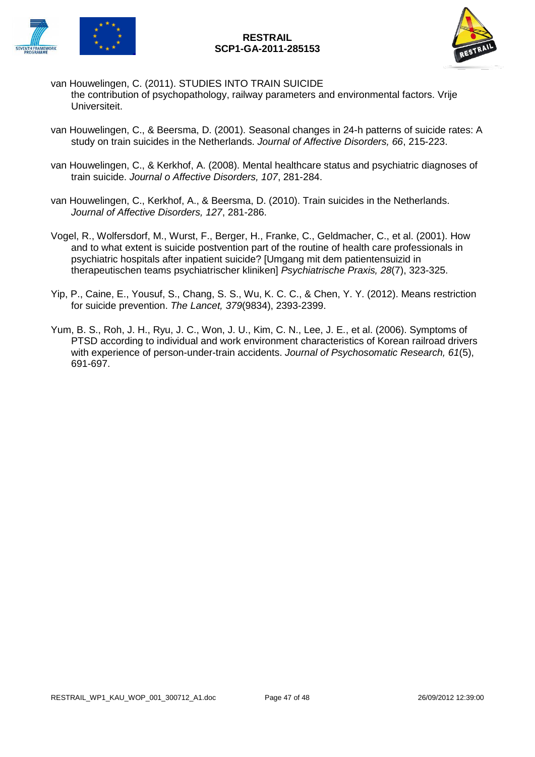

- van Houwelingen, C. (2011). STUDIES INTO TRAIN SUICIDE the contribution of psychopathology, railway parameters and environmental factors. Vrije Universiteit.
- van Houwelingen, C., & Beersma, D. (2001). Seasonal changes in 24-h patterns of suicide rates: A study on train suicides in the Netherlands. *Journal of Affective Disorders, 66*, 215-223.
- van Houwelingen, C., & Kerkhof, A. (2008). Mental healthcare status and psychiatric diagnoses of train suicide. *Journal o Affective Disorders, 107*, 281-284.
- van Houwelingen, C., Kerkhof, A., & Beersma, D. (2010). Train suicides in the Netherlands. *Journal of Affective Disorders, 127*, 281-286.
- Vogel, R., Wolfersdorf, M., Wurst, F., Berger, H., Franke, C., Geldmacher, C., et al. (2001). How and to what extent is suicide postvention part of the routine of health care professionals in psychiatric hospitals after inpatient suicide? [Umgang mit dem patientensuizid in therapeutischen teams psychiatrischer kliniken] *Psychiatrische Praxis, 28*(7), 323-325.
- Yip, P., Caine, E., Yousuf, S., Chang, S. S., Wu, K. C. C., & Chen, Y. Y. (2012). Means restriction for suicide prevention. *The Lancet, 379*(9834), 2393-2399.
- Yum, B. S., Roh, J. H., Ryu, J. C., Won, J. U., Kim, C. N., Lee, J. E., et al. (2006). Symptoms of PTSD according to individual and work environment characteristics of Korean railroad drivers with experience of person-under-train accidents. *Journal of Psychosomatic Research, 61*(5), 691-697.